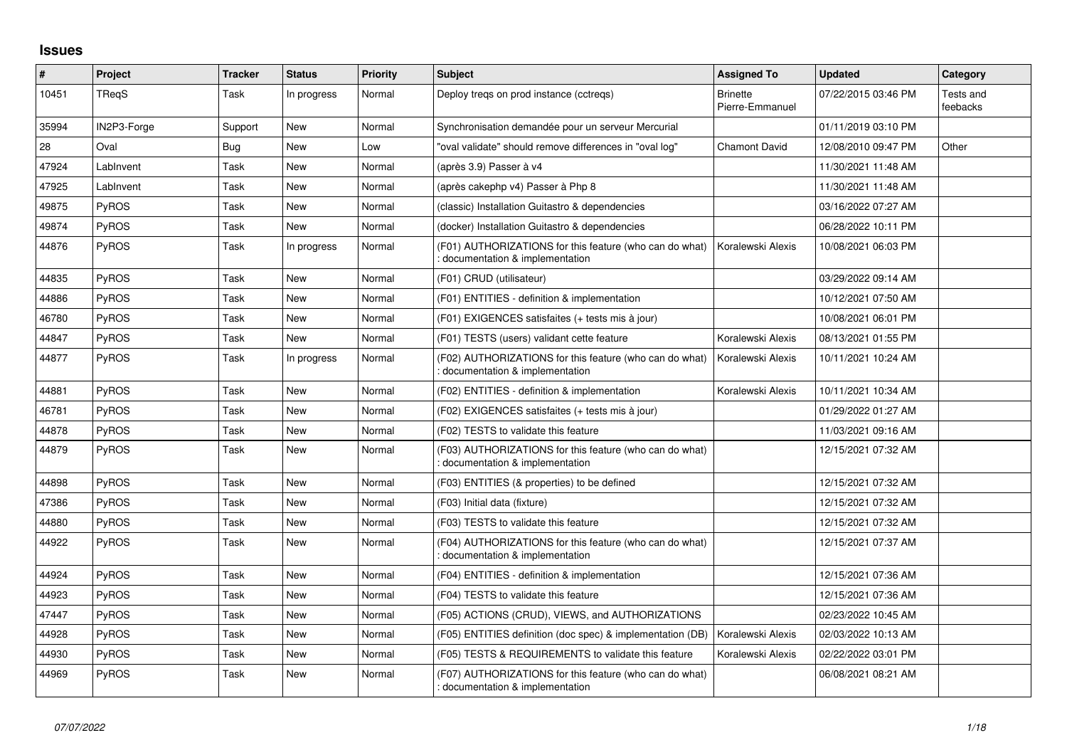## **Issues**

| $\vert$ # | Project      | <b>Tracker</b> | <b>Status</b> | <b>Priority</b> | <b>Subject</b>                                                                              | <b>Assigned To</b>                 | <b>Updated</b>      | Category              |
|-----------|--------------|----------------|---------------|-----------------|---------------------------------------------------------------------------------------------|------------------------------------|---------------------|-----------------------|
| 10451     | <b>TRegS</b> | Task           | In progress   | Normal          | Deploy treqs on prod instance (cctreqs)                                                     | <b>Brinette</b><br>Pierre-Emmanuel | 07/22/2015 03:46 PM | Tests and<br>feebacks |
| 35994     | IN2P3-Forge  | Support        | New           | Normal          | Synchronisation demandée pour un serveur Mercurial                                          |                                    | 01/11/2019 03:10 PM |                       |
| 28        | Oval         | Bug            | <b>New</b>    | Low             | "oval validate" should remove differences in "oval log"                                     | <b>Chamont David</b>               | 12/08/2010 09:47 PM | Other                 |
| 47924     | LabInvent    | Task           | <b>New</b>    | Normal          | (après 3.9) Passer à v4                                                                     |                                    | 11/30/2021 11:48 AM |                       |
| 47925     | LabInvent    | Task           | New           | Normal          | (après cakephp v4) Passer à Php 8                                                           |                                    | 11/30/2021 11:48 AM |                       |
| 49875     | PyROS        | Task           | <b>New</b>    | Normal          | (classic) Installation Guitastro & dependencies                                             |                                    | 03/16/2022 07:27 AM |                       |
| 49874     | <b>PyROS</b> | Task           | New           | Normal          | (docker) Installation Guitastro & dependencies                                              |                                    | 06/28/2022 10:11 PM |                       |
| 44876     | <b>PvROS</b> | Task           | In progress   | Normal          | (F01) AUTHORIZATIONS for this feature (who can do what)<br>documentation & implementation   | Koralewski Alexis                  | 10/08/2021 06:03 PM |                       |
| 44835     | PyROS        | Task           | <b>New</b>    | Normal          | (F01) CRUD (utilisateur)                                                                    |                                    | 03/29/2022 09:14 AM |                       |
| 44886     | <b>PyROS</b> | Task           | <b>New</b>    | Normal          | (F01) ENTITIES - definition & implementation                                                |                                    | 10/12/2021 07:50 AM |                       |
| 46780     | <b>PyROS</b> | Task           | New           | Normal          | (F01) EXIGENCES satisfaites (+ tests mis à jour)                                            |                                    | 10/08/2021 06:01 PM |                       |
| 44847     | <b>PyROS</b> | Task           | <b>New</b>    | Normal          | (F01) TESTS (users) validant cette feature                                                  | Koralewski Alexis                  | 08/13/2021 01:55 PM |                       |
| 44877     | <b>PyROS</b> | Task           | In progress   | Normal          | (F02) AUTHORIZATIONS for this feature (who can do what)<br>: documentation & implementation | Koralewski Alexis                  | 10/11/2021 10:24 AM |                       |
| 44881     | PyROS        | Task           | <b>New</b>    | Normal          | (F02) ENTITIES - definition & implementation                                                | Koralewski Alexis                  | 10/11/2021 10:34 AM |                       |
| 46781     | <b>PyROS</b> | Task           | <b>New</b>    | Normal          | (F02) EXIGENCES satisfaites (+ tests mis à jour)                                            |                                    | 01/29/2022 01:27 AM |                       |
| 44878     | <b>PyROS</b> | Task           | <b>New</b>    | Normal          | (F02) TESTS to validate this feature                                                        |                                    | 11/03/2021 09:16 AM |                       |
| 44879     | <b>PyROS</b> | Task           | New           | Normal          | (F03) AUTHORIZATIONS for this feature (who can do what)<br>: documentation & implementation |                                    | 12/15/2021 07:32 AM |                       |
| 44898     | PyROS        | Task           | <b>New</b>    | Normal          | (F03) ENTITIES (& properties) to be defined                                                 |                                    | 12/15/2021 07:32 AM |                       |
| 47386     | <b>PyROS</b> | Task           | <b>New</b>    | Normal          | (F03) Initial data (fixture)                                                                |                                    | 12/15/2021 07:32 AM |                       |
| 44880     | <b>PyROS</b> | Task           | <b>New</b>    | Normal          | (F03) TESTS to validate this feature                                                        |                                    | 12/15/2021 07:32 AM |                       |
| 44922     | <b>PyROS</b> | Task           | New           | Normal          | (F04) AUTHORIZATIONS for this feature (who can do what)<br>: documentation & implementation |                                    | 12/15/2021 07:37 AM |                       |
| 44924     | PyROS        | Task           | <b>New</b>    | Normal          | (F04) ENTITIES - definition & implementation                                                |                                    | 12/15/2021 07:36 AM |                       |
| 44923     | PyROS        | Task           | <b>New</b>    | Normal          | (F04) TESTS to validate this feature                                                        |                                    | 12/15/2021 07:36 AM |                       |
| 47447     | <b>PyROS</b> | Task           | New           | Normal          | (F05) ACTIONS (CRUD), VIEWS, and AUTHORIZATIONS                                             |                                    | 02/23/2022 10:45 AM |                       |
| 44928     | PyROS        | Task           | <b>New</b>    | Normal          | (F05) ENTITIES definition (doc spec) & implementation (DB)                                  | Koralewski Alexis                  | 02/03/2022 10:13 AM |                       |
| 44930     | PyROS        | Task           | <b>New</b>    | Normal          | (F05) TESTS & REQUIREMENTS to validate this feature                                         | Koralewski Alexis                  | 02/22/2022 03:01 PM |                       |
| 44969     | <b>PyROS</b> | Task           | <b>New</b>    | Normal          | (F07) AUTHORIZATIONS for this feature (who can do what)<br>: documentation & implementation |                                    | 06/08/2021 08:21 AM |                       |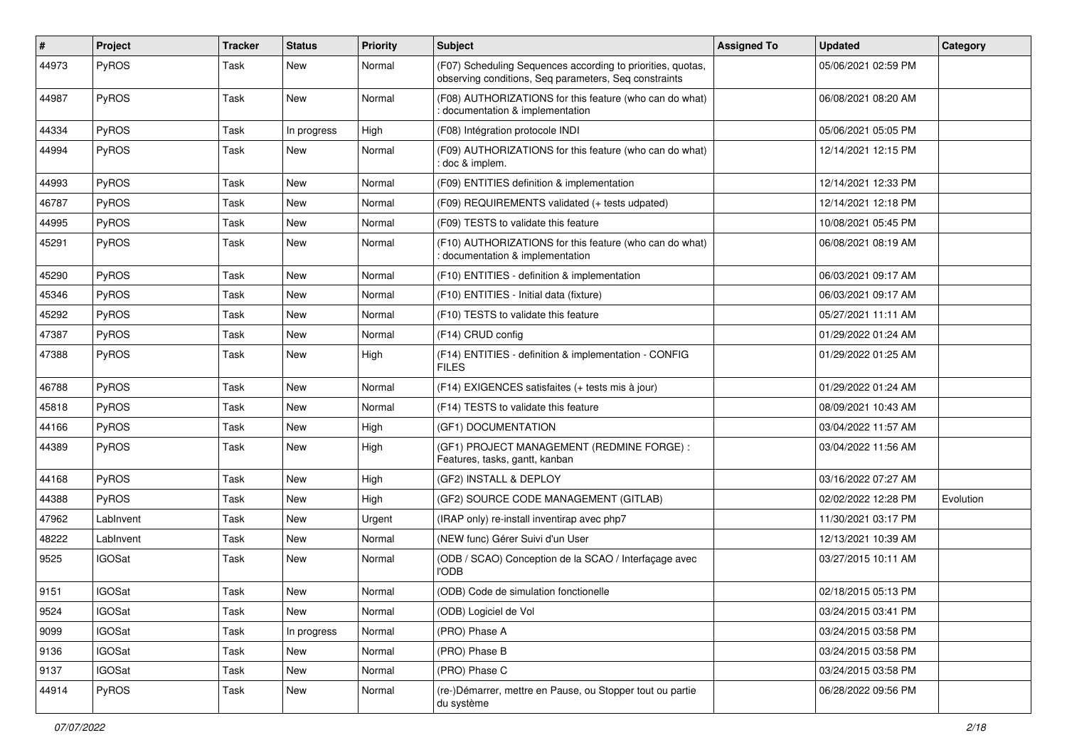| #     | Project       | <b>Tracker</b> | <b>Status</b> | <b>Priority</b> | <b>Subject</b>                                                                                                       | <b>Assigned To</b> | <b>Updated</b>      | Category  |
|-------|---------------|----------------|---------------|-----------------|----------------------------------------------------------------------------------------------------------------------|--------------------|---------------------|-----------|
| 44973 | PyROS         | Task           | <b>New</b>    | Normal          | (F07) Scheduling Sequences according to priorities, quotas,<br>observing conditions, Seq parameters, Seq constraints |                    | 05/06/2021 02:59 PM |           |
| 44987 | PyROS         | Task           | <b>New</b>    | Normal          | (F08) AUTHORIZATIONS for this feature (who can do what)<br>documentation & implementation                            |                    | 06/08/2021 08:20 AM |           |
| 44334 | PyROS         | Task           | In progress   | High            | (F08) Intégration protocole INDI                                                                                     |                    | 05/06/2021 05:05 PM |           |
| 44994 | PyROS         | Task           | New           | Normal          | (F09) AUTHORIZATIONS for this feature (who can do what)<br>: doc & implem.                                           |                    | 12/14/2021 12:15 PM |           |
| 44993 | PyROS         | Task           | <b>New</b>    | Normal          | (F09) ENTITIES definition & implementation                                                                           |                    | 12/14/2021 12:33 PM |           |
| 46787 | PyROS         | Task           | New           | Normal          | (F09) REQUIREMENTS validated (+ tests udpated)                                                                       |                    | 12/14/2021 12:18 PM |           |
| 44995 | PyROS         | Task           | <b>New</b>    | Normal          | (F09) TESTS to validate this feature                                                                                 |                    | 10/08/2021 05:45 PM |           |
| 45291 | <b>PyROS</b>  | Task           | <b>New</b>    | Normal          | (F10) AUTHORIZATIONS for this feature (who can do what)<br>documentation & implementation                            |                    | 06/08/2021 08:19 AM |           |
| 45290 | PyROS         | Task           | <b>New</b>    | Normal          | (F10) ENTITIES - definition & implementation                                                                         |                    | 06/03/2021 09:17 AM |           |
| 45346 | <b>PyROS</b>  | Task           | New           | Normal          | (F10) ENTITIES - Initial data (fixture)                                                                              |                    | 06/03/2021 09:17 AM |           |
| 45292 | PyROS         | Task           | <b>New</b>    | Normal          | (F10) TESTS to validate this feature                                                                                 |                    | 05/27/2021 11:11 AM |           |
| 47387 | PyROS         | Task           | New           | Normal          | (F14) CRUD config                                                                                                    |                    | 01/29/2022 01:24 AM |           |
| 47388 | PyROS         | Task           | <b>New</b>    | High            | (F14) ENTITIES - definition & implementation - CONFIG<br><b>FILES</b>                                                |                    | 01/29/2022 01:25 AM |           |
| 46788 | PyROS         | Task           | <b>New</b>    | Normal          | (F14) EXIGENCES satisfaites (+ tests mis à jour)                                                                     |                    | 01/29/2022 01:24 AM |           |
| 45818 | PyROS         | Task           | <b>New</b>    | Normal          | (F14) TESTS to validate this feature                                                                                 |                    | 08/09/2021 10:43 AM |           |
| 44166 | PyROS         | Task           | <b>New</b>    | High            | (GF1) DOCUMENTATION                                                                                                  |                    | 03/04/2022 11:57 AM |           |
| 44389 | PyROS         | Task           | New           | High            | (GF1) PROJECT MANAGEMENT (REDMINE FORGE) :<br>Features, tasks, gantt, kanban                                         |                    | 03/04/2022 11:56 AM |           |
| 44168 | PyROS         | Task           | New           | High            | (GF2) INSTALL & DEPLOY                                                                                               |                    | 03/16/2022 07:27 AM |           |
| 44388 | <b>PyROS</b>  | Task           | <b>New</b>    | High            | (GF2) SOURCE CODE MANAGEMENT (GITLAB)                                                                                |                    | 02/02/2022 12:28 PM | Evolution |
| 47962 | LabInvent     | Task           | <b>New</b>    | Urgent          | (IRAP only) re-install inventirap avec php7                                                                          |                    | 11/30/2021 03:17 PM |           |
| 48222 | LabInvent     | Task           | <b>New</b>    | Normal          | (NEW func) Gérer Suivi d'un User                                                                                     |                    | 12/13/2021 10:39 AM |           |
| 9525  | <b>IGOSat</b> | Task           | New           | Normal          | (ODB / SCAO) Conception de la SCAO / Interfaçage avec<br><b>l'ODB</b>                                                |                    | 03/27/2015 10:11 AM |           |
| 9151  | <b>IGOSat</b> | Task           | New           | Normal          | (ODB) Code de simulation fonctionelle                                                                                |                    | 02/18/2015 05:13 PM |           |
| 9524  | <b>IGOSat</b> | Task           | New           | Normal          | (ODB) Logiciel de Vol                                                                                                |                    | 03/24/2015 03:41 PM |           |
| 9099  | <b>IGOSat</b> | Task           | In progress   | Normal          | (PRO) Phase A                                                                                                        |                    | 03/24/2015 03:58 PM |           |
| 9136  | <b>IGOSat</b> | Task           | New           | Normal          | (PRO) Phase B                                                                                                        |                    | 03/24/2015 03:58 PM |           |
| 9137  | <b>IGOSat</b> | Task           | New           | Normal          | (PRO) Phase C                                                                                                        |                    | 03/24/2015 03:58 PM |           |
| 44914 | PyROS         | Task           | New           | Normal          | (re-)Démarrer, mettre en Pause, ou Stopper tout ou partie<br>du système                                              |                    | 06/28/2022 09:56 PM |           |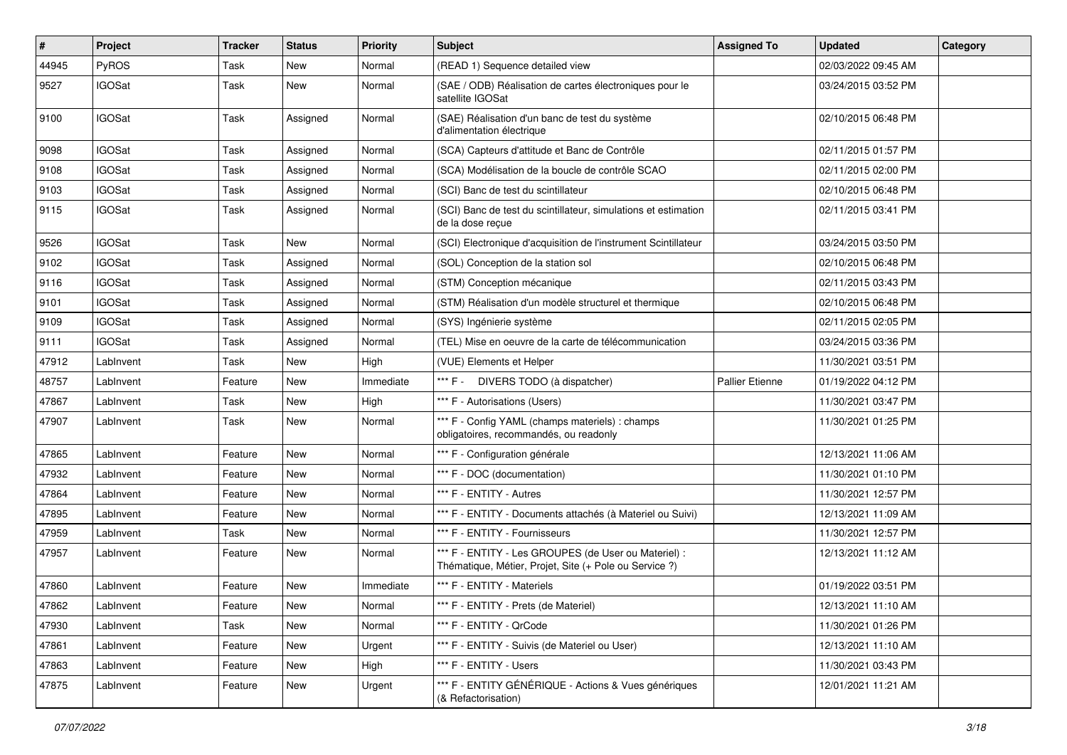| $\pmb{\#}$ | Project       | <b>Tracker</b> | <b>Status</b> | <b>Priority</b> | <b>Subject</b>                                                                                                 | <b>Assigned To</b>     | <b>Updated</b>      | Category |
|------------|---------------|----------------|---------------|-----------------|----------------------------------------------------------------------------------------------------------------|------------------------|---------------------|----------|
| 44945      | PyROS         | Task           | New           | Normal          | (READ 1) Sequence detailed view                                                                                |                        | 02/03/2022 09:45 AM |          |
| 9527       | <b>IGOSat</b> | Task           | <b>New</b>    | Normal          | (SAE / ODB) Réalisation de cartes électroniques pour le<br>satellite IGOSat                                    |                        | 03/24/2015 03:52 PM |          |
| 9100       | <b>IGOSat</b> | Task           | Assigned      | Normal          | (SAE) Réalisation d'un banc de test du système<br>d'alimentation électrique                                    |                        | 02/10/2015 06:48 PM |          |
| 9098       | <b>IGOSat</b> | Task           | Assigned      | Normal          | (SCA) Capteurs d'attitude et Banc de Contrôle                                                                  |                        | 02/11/2015 01:57 PM |          |
| 9108       | <b>IGOSat</b> | Task           | Assigned      | Normal          | (SCA) Modélisation de la boucle de contrôle SCAO                                                               |                        | 02/11/2015 02:00 PM |          |
| 9103       | <b>IGOSat</b> | Task           | Assigned      | Normal          | (SCI) Banc de test du scintillateur                                                                            |                        | 02/10/2015 06:48 PM |          |
| 9115       | <b>IGOSat</b> | Task           | Assigned      | Normal          | (SCI) Banc de test du scintillateur, simulations et estimation<br>de la dose reçue                             |                        | 02/11/2015 03:41 PM |          |
| 9526       | <b>IGOSat</b> | Task           | <b>New</b>    | Normal          | (SCI) Electronique d'acquisition de l'instrument Scintillateur                                                 |                        | 03/24/2015 03:50 PM |          |
| 9102       | <b>IGOSat</b> | Task           | Assigned      | Normal          | (SOL) Conception de la station sol                                                                             |                        | 02/10/2015 06:48 PM |          |
| 9116       | <b>IGOSat</b> | Task           | Assigned      | Normal          | (STM) Conception mécanique                                                                                     |                        | 02/11/2015 03:43 PM |          |
| 9101       | <b>IGOSat</b> | Task           | Assigned      | Normal          | (STM) Réalisation d'un modèle structurel et thermique                                                          |                        | 02/10/2015 06:48 PM |          |
| 9109       | <b>IGOSat</b> | Task           | Assigned      | Normal          | (SYS) Ingénierie système                                                                                       |                        | 02/11/2015 02:05 PM |          |
| 9111       | <b>IGOSat</b> | Task           | Assigned      | Normal          | (TEL) Mise en oeuvre de la carte de télécommunication                                                          |                        | 03/24/2015 03:36 PM |          |
| 47912      | LabInvent     | Task           | New           | High            | (VUE) Elements et Helper                                                                                       |                        | 11/30/2021 03:51 PM |          |
| 48757      | LabInvent     | Feature        | <b>New</b>    | Immediate       | *** F - DIVERS TODO (à dispatcher)                                                                             | <b>Pallier Etienne</b> | 01/19/2022 04:12 PM |          |
| 47867      | LabInvent     | Task           | New           | High            | *** F - Autorisations (Users)                                                                                  |                        | 11/30/2021 03:47 PM |          |
| 47907      | LabInvent     | Task           | New           | Normal          | *** F - Config YAML (champs materiels) : champs<br>obligatoires, recommandés, ou readonly                      |                        | 11/30/2021 01:25 PM |          |
| 47865      | LabInvent     | Feature        | New           | Normal          | *** F - Configuration générale                                                                                 |                        | 12/13/2021 11:06 AM |          |
| 47932      | LabInvent     | Feature        | <b>New</b>    | Normal          | *** F - DOC (documentation)                                                                                    |                        | 11/30/2021 01:10 PM |          |
| 47864      | LabInvent     | Feature        | New           | Normal          | *** F - ENTITY - Autres                                                                                        |                        | 11/30/2021 12:57 PM |          |
| 47895      | LabInvent     | Feature        | New           | Normal          | *** F - ENTITY - Documents attachés (à Materiel ou Suivi)                                                      |                        | 12/13/2021 11:09 AM |          |
| 47959      | LabInvent     | Task           | <b>New</b>    | Normal          | *** F - ENTITY - Fournisseurs                                                                                  |                        | 11/30/2021 12:57 PM |          |
| 47957      | LabInvent     | Feature        | New           | Normal          | *** F - ENTITY - Les GROUPES (de User ou Materiel) :<br>Thématique, Métier, Projet, Site (+ Pole ou Service ?) |                        | 12/13/2021 11:12 AM |          |
| 47860      | LabInvent     | Feature        | <b>New</b>    | Immediate       | *** F - ENTITY - Materiels                                                                                     |                        | 01/19/2022 03:51 PM |          |
| 47862      | LabInvent     | Feature        | New           | Normal          | *** F - ENTITY - Prets (de Materiel)                                                                           |                        | 12/13/2021 11:10 AM |          |
| 47930      | LabInvent     | Task           | New           | Normal          | *** F - ENTITY - QrCode                                                                                        |                        | 11/30/2021 01:26 PM |          |
| 47861      | LabInvent     | Feature        | New           | Urgent          | *** F - ENTITY - Suivis (de Materiel ou User)                                                                  |                        | 12/13/2021 11:10 AM |          |
| 47863      | LabInvent     | Feature        | New           | High            | *** F - ENTITY - Users                                                                                         |                        | 11/30/2021 03:43 PM |          |
| 47875      | LabInvent     | Feature        | New           | Urgent          | *** F - ENTITY GÉNÉRIQUE - Actions & Vues génériques<br>(& Refactorisation)                                    |                        | 12/01/2021 11:21 AM |          |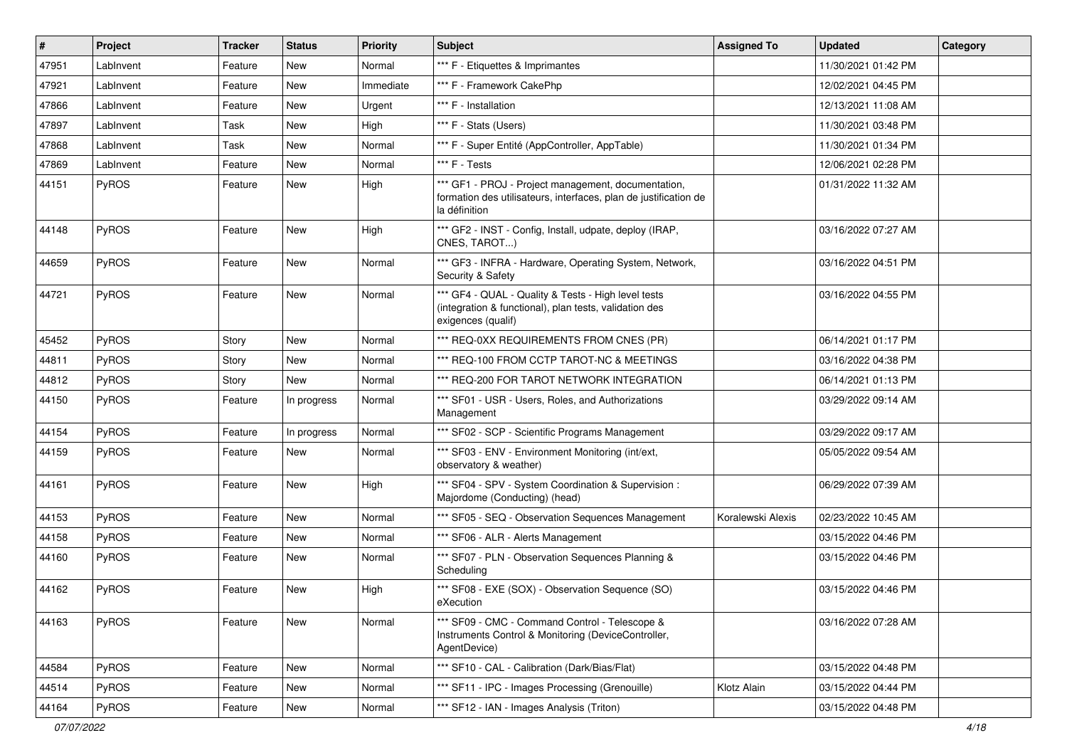| #     | <b>Project</b> | <b>Tracker</b> | <b>Status</b> | <b>Priority</b> | <b>Subject</b>                                                                                                                           | <b>Assigned To</b> | <b>Updated</b>      | Category |
|-------|----------------|----------------|---------------|-----------------|------------------------------------------------------------------------------------------------------------------------------------------|--------------------|---------------------|----------|
| 47951 | LabInvent      | Feature        | New           | Normal          | *** F - Etiquettes & Imprimantes                                                                                                         |                    | 11/30/2021 01:42 PM |          |
| 47921 | LabInvent      | Feature        | New           | Immediate       | *** F - Framework CakePhp                                                                                                                |                    | 12/02/2021 04:45 PM |          |
| 47866 | LabInvent      | Feature        | New           | Urgent          | *** F - Installation                                                                                                                     |                    | 12/13/2021 11:08 AM |          |
| 47897 | LabInvent      | Task           | New           | High            | *** F - Stats (Users)                                                                                                                    |                    | 11/30/2021 03:48 PM |          |
| 47868 | LabInvent      | Task           | <b>New</b>    | Normal          | *** F - Super Entité (AppController, AppTable)                                                                                           |                    | 11/30/2021 01:34 PM |          |
| 47869 | LabInvent      | Feature        | New           | Normal          | *** F - Tests                                                                                                                            |                    | 12/06/2021 02:28 PM |          |
| 44151 | PyROS          | Feature        | New           | High            | *** GF1 - PROJ - Project management, documentation,<br>formation des utilisateurs, interfaces, plan de justification de<br>la définition |                    | 01/31/2022 11:32 AM |          |
| 44148 | PyROS          | Feature        | New           | High            | *** GF2 - INST - Config, Install, udpate, deploy (IRAP,<br>CNES, TAROT)                                                                  |                    | 03/16/2022 07:27 AM |          |
| 44659 | PyROS          | Feature        | New           | Normal          | *** GF3 - INFRA - Hardware, Operating System, Network,<br>Security & Safety                                                              |                    | 03/16/2022 04:51 PM |          |
| 44721 | PyROS          | Feature        | <b>New</b>    | Normal          | *** GF4 - QUAL - Quality & Tests - High level tests<br>(integration & functional), plan tests, validation des<br>exigences (qualif)      |                    | 03/16/2022 04:55 PM |          |
| 45452 | PyROS          | Story          | New           | Normal          | *** REQ-0XX REQUIREMENTS FROM CNES (PR)                                                                                                  |                    | 06/14/2021 01:17 PM |          |
| 44811 | PyROS          | Story          | New           | Normal          | *** REQ-100 FROM CCTP TAROT-NC & MEETINGS                                                                                                |                    | 03/16/2022 04:38 PM |          |
| 44812 | PyROS          | Story          | New           | Normal          | *** REQ-200 FOR TAROT NETWORK INTEGRATION                                                                                                |                    | 06/14/2021 01:13 PM |          |
| 44150 | PyROS          | Feature        | In progress   | Normal          | *** SF01 - USR - Users, Roles, and Authorizations<br>Management                                                                          |                    | 03/29/2022 09:14 AM |          |
| 44154 | PyROS          | Feature        | In progress   | Normal          | *** SF02 - SCP - Scientific Programs Management                                                                                          |                    | 03/29/2022 09:17 AM |          |
| 44159 | PyROS          | Feature        | New           | Normal          | *** SF03 - ENV - Environment Monitoring (int/ext,<br>observatory & weather)                                                              |                    | 05/05/2022 09:54 AM |          |
| 44161 | PyROS          | Feature        | New           | High            | *** SF04 - SPV - System Coordination & Supervision :<br>Majordome (Conducting) (head)                                                    |                    | 06/29/2022 07:39 AM |          |
| 44153 | PyROS          | Feature        | <b>New</b>    | Normal          | *** SF05 - SEQ - Observation Sequences Management                                                                                        | Koralewski Alexis  | 02/23/2022 10:45 AM |          |
| 44158 | PyROS          | Feature        | New           | Normal          | *** SF06 - ALR - Alerts Management                                                                                                       |                    | 03/15/2022 04:46 PM |          |
| 44160 | PyROS          | Feature        | New           | Normal          | *** SF07 - PLN - Observation Sequences Planning &<br>Scheduling                                                                          |                    | 03/15/2022 04:46 PM |          |
| 44162 | PyROS          | Feature        | New           | High            | *** SF08 - EXE (SOX) - Observation Sequence (SO)<br>eXecution                                                                            |                    | 03/15/2022 04:46 PM |          |
| 44163 | PyROS          | Feature        | New           | Normal          | *** SF09 - CMC - Command Control - Telescope &<br>Instruments Control & Monitoring (DeviceController,<br>AgentDevice)                    |                    | 03/16/2022 07:28 AM |          |
| 44584 | PyROS          | Feature        | New           | Normal          | *** SF10 - CAL - Calibration (Dark/Bias/Flat)                                                                                            |                    | 03/15/2022 04:48 PM |          |
| 44514 | PyROS          | Feature        | New           | Normal          | *** SF11 - IPC - Images Processing (Grenouille)                                                                                          | Klotz Alain        | 03/15/2022 04:44 PM |          |
| 44164 | PyROS          | Feature        | New           | Normal          | *** SF12 - IAN - Images Analysis (Triton)                                                                                                |                    | 03/15/2022 04:48 PM |          |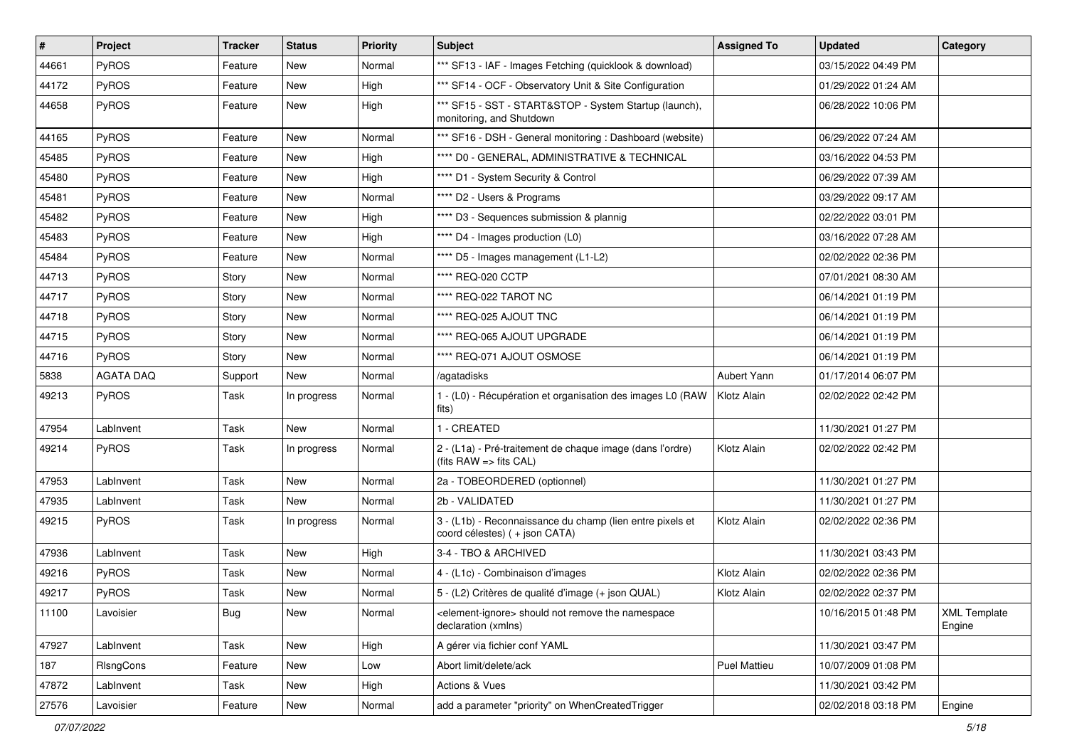| #     | Project          | <b>Tracker</b> | <b>Status</b> | <b>Priority</b> | <b>Subject</b>                                                                                    | <b>Assigned To</b> | <b>Updated</b>      | Category                      |
|-------|------------------|----------------|---------------|-----------------|---------------------------------------------------------------------------------------------------|--------------------|---------------------|-------------------------------|
| 44661 | PyROS            | Feature        | New           | Normal          | *** SF13 - IAF - Images Fetching (quicklook & download)                                           |                    | 03/15/2022 04:49 PM |                               |
| 44172 | PyROS            | Feature        | <b>New</b>    | High            | *** SF14 - OCF - Observatory Unit & Site Configuration                                            |                    | 01/29/2022 01:24 AM |                               |
| 44658 | <b>PyROS</b>     | Feature        | New           | High            | *** SF15 - SST - START&STOP - System Startup (launch),<br>monitoring, and Shutdown                |                    | 06/28/2022 10:06 PM |                               |
| 44165 | PyROS            | Feature        | <b>New</b>    | Normal          | *** SF16 - DSH - General monitoring : Dashboard (website)                                         |                    | 06/29/2022 07:24 AM |                               |
| 45485 | <b>PyROS</b>     | Feature        | New           | High            | **** D0 - GENERAL, ADMINISTRATIVE & TECHNICAL                                                     |                    | 03/16/2022 04:53 PM |                               |
| 45480 | PyROS            | Feature        | New           | High            | **** D1 - System Security & Control                                                               |                    | 06/29/2022 07:39 AM |                               |
| 45481 | <b>PyROS</b>     | Feature        | New           | Normal          | **** D2 - Users & Programs                                                                        |                    | 03/29/2022 09:17 AM |                               |
| 45482 | PyROS            | Feature        | New           | High            | **** D3 - Sequences submission & plannig                                                          |                    | 02/22/2022 03:01 PM |                               |
| 45483 | PyROS            | Feature        | <b>New</b>    | High            | **** D4 - Images production (L0)                                                                  |                    | 03/16/2022 07:28 AM |                               |
| 45484 | <b>PyROS</b>     | Feature        | New           | Normal          | **** D5 - Images management (L1-L2)                                                               |                    | 02/02/2022 02:36 PM |                               |
| 44713 | <b>PyROS</b>     | Story          | New           | Normal          | **** REQ-020 CCTP                                                                                 |                    | 07/01/2021 08:30 AM |                               |
| 44717 | PyROS            | Story          | New           | Normal          | **** REQ-022 TAROT NC                                                                             |                    | 06/14/2021 01:19 PM |                               |
| 44718 | PyROS            | Story          | New           | Normal          | **** REQ-025 AJOUT TNC                                                                            |                    | 06/14/2021 01:19 PM |                               |
| 44715 | PyROS            | Story          | <b>New</b>    | Normal          | **** REQ-065 AJOUT UPGRADE                                                                        |                    | 06/14/2021 01:19 PM |                               |
| 44716 | <b>PyROS</b>     | Story          | New           | Normal          | **** REQ-071 AJOUT OSMOSE                                                                         |                    | 06/14/2021 01:19 PM |                               |
| 5838  | <b>AGATA DAQ</b> | Support        | New           | Normal          | /agatadisks                                                                                       | Aubert Yann        | 01/17/2014 06:07 PM |                               |
| 49213 | PyROS            | Task           | In progress   | Normal          | 1 - (L0) - Récupération et organisation des images L0 (RAW<br>fits)                               | Klotz Alain        | 02/02/2022 02:42 PM |                               |
| 47954 | LabInvent        | Task           | New           | Normal          | 1 - CREATED                                                                                       |                    | 11/30/2021 01:27 PM |                               |
| 49214 | <b>PyROS</b>     | Task           | In progress   | Normal          | 2 - (L1a) - Pré-traitement de chaque image (dans l'ordre)<br>(fits $RAW \Rightarrow$ fits $CAL$ ) | Klotz Alain        | 02/02/2022 02:42 PM |                               |
| 47953 | LabInvent        | Task           | New           | Normal          | 2a - TOBEORDERED (optionnel)                                                                      |                    | 11/30/2021 01:27 PM |                               |
| 47935 | LabInvent        | Task           | New           | Normal          | 2b - VALIDATED                                                                                    |                    | 11/30/2021 01:27 PM |                               |
| 49215 | <b>PyROS</b>     | Task           | In progress   | Normal          | 3 - (L1b) - Reconnaissance du champ (lien entre pixels et<br>coord célestes) (+ json CATA)        | Klotz Alain        | 02/02/2022 02:36 PM |                               |
| 47936 | LabInvent        | Task           | New           | High            | 3-4 - TBO & ARCHIVED                                                                              |                    | 11/30/2021 03:43 PM |                               |
| 49216 | <b>PyROS</b>     | Task           | New           | Normal          | 4 - (L1c) - Combinaison d'images                                                                  | Klotz Alain        | 02/02/2022 02:36 PM |                               |
| 49217 | <b>PyROS</b>     | Task           | <b>New</b>    | Normal          | 5 - (L2) Critères de qualité d'image (+ json QUAL)                                                | Klotz Alain        | 02/02/2022 02:37 PM |                               |
| 11100 | Lavoisier        | <b>Bug</b>     | New           | Normal          | <element-ignore> should not remove the namespace<br/>declaration (xmlns)</element-ignore>         |                    | 10/16/2015 01:48 PM | <b>XML Template</b><br>Engine |
| 47927 | LabInvent        | Task           | New           | High            | A gérer via fichier conf YAML                                                                     |                    | 11/30/2021 03:47 PM |                               |
| 187   | RIsngCons        | Feature        | New           | Low             | Abort limit/delete/ack                                                                            | Puel Mattieu       | 10/07/2009 01:08 PM |                               |
| 47872 | LabInvent        | Task           | New           | High            | Actions & Vues                                                                                    |                    | 11/30/2021 03:42 PM |                               |
| 27576 | Lavoisier        | Feature        | New           | Normal          | add a parameter "priority" on WhenCreatedTrigger                                                  |                    | 02/02/2018 03:18 PM | Engine                        |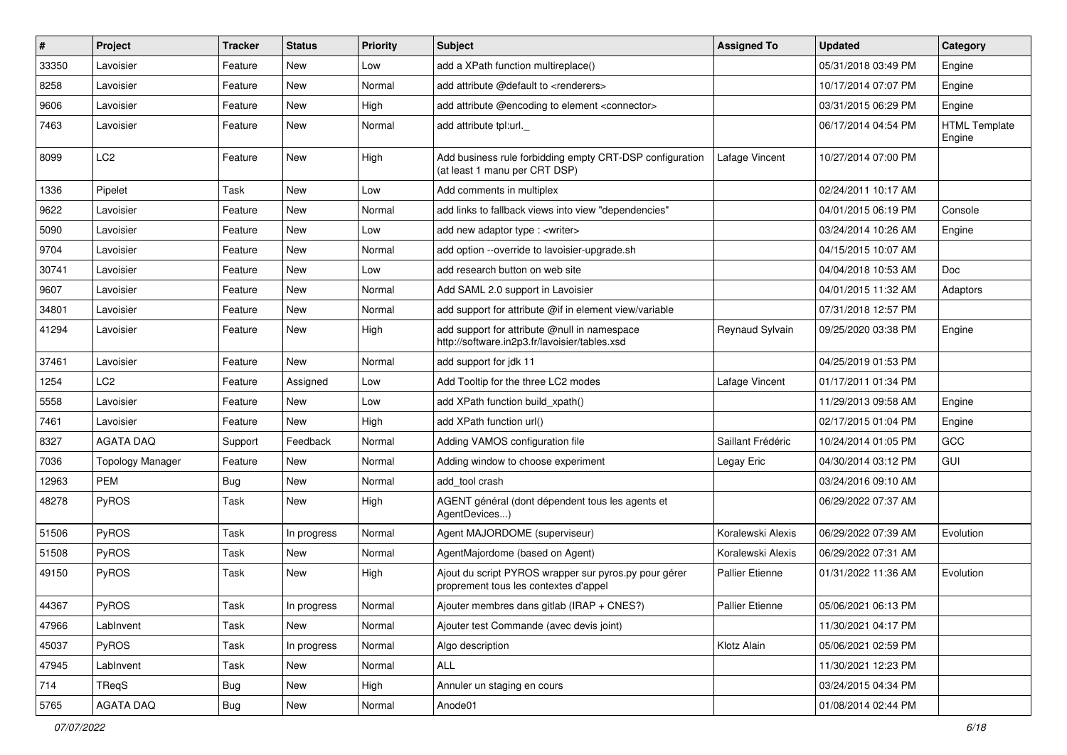| #     | Project                 | Tracker    | <b>Status</b> | <b>Priority</b> | <b>Subject</b>                                                                                 | <b>Assigned To</b>     | <b>Updated</b>      | Category                       |
|-------|-------------------------|------------|---------------|-----------------|------------------------------------------------------------------------------------------------|------------------------|---------------------|--------------------------------|
| 33350 | Lavoisier               | Feature    | New           | Low             | add a XPath function multireplace()                                                            |                        | 05/31/2018 03:49 PM | Engine                         |
| 8258  | Lavoisier               | Feature    | <b>New</b>    | Normal          | add attribute @default to <renderers></renderers>                                              |                        | 10/17/2014 07:07 PM | Engine                         |
| 9606  | Lavoisier               | Feature    | New           | High            | add attribute @encoding to element <connector></connector>                                     |                        | 03/31/2015 06:29 PM | Engine                         |
| 7463  | Lavoisier               | Feature    | New           | Normal          | add attribute tpl:url.                                                                         |                        | 06/17/2014 04:54 PM | <b>HTML Template</b><br>Engine |
| 8099  | LC <sub>2</sub>         | Feature    | New           | High            | Add business rule forbidding empty CRT-DSP configuration<br>(at least 1 manu per CRT DSP)      | Lafage Vincent         | 10/27/2014 07:00 PM |                                |
| 1336  | Pipelet                 | Task       | New           | Low             | Add comments in multiplex                                                                      |                        | 02/24/2011 10:17 AM |                                |
| 9622  | Lavoisier               | Feature    | New           | Normal          | add links to fallback views into view "dependencies"                                           |                        | 04/01/2015 06:19 PM | Console                        |
| 5090  | Lavoisier               | Feature    | <b>New</b>    | Low             | add new adaptor type : <writer></writer>                                                       |                        | 03/24/2014 10:26 AM | Engine                         |
| 9704  | Lavoisier               | Feature    | New           | Normal          | add option --override to lavoisier-upgrade.sh                                                  |                        | 04/15/2015 10:07 AM |                                |
| 30741 | Lavoisier               | Feature    | New           | Low             | add research button on web site                                                                |                        | 04/04/2018 10:53 AM | Doc                            |
| 9607  | Lavoisier               | Feature    | New           | Normal          | Add SAML 2.0 support in Lavoisier                                                              |                        | 04/01/2015 11:32 AM | Adaptors                       |
| 34801 | Lavoisier               | Feature    | New           | Normal          | add support for attribute @if in element view/variable                                         |                        | 07/31/2018 12:57 PM |                                |
| 41294 | Lavoisier               | Feature    | New           | High            | add support for attribute @null in namespace<br>http://software.in2p3.fr/lavoisier/tables.xsd  | Reynaud Sylvain        | 09/25/2020 03:38 PM | Engine                         |
| 37461 | Lavoisier               | Feature    | <b>New</b>    | Normal          | add support for jdk 11                                                                         |                        | 04/25/2019 01:53 PM |                                |
| 1254  | LC <sub>2</sub>         | Feature    | Assigned      | Low             | Add Tooltip for the three LC2 modes                                                            | Lafage Vincent         | 01/17/2011 01:34 PM |                                |
| 5558  | Lavoisier               | Feature    | New           | Low             | add XPath function build xpath()                                                               |                        | 11/29/2013 09:58 AM | Engine                         |
| 7461  | Lavoisier               | Feature    | <b>New</b>    | High            | add XPath function url()                                                                       |                        | 02/17/2015 01:04 PM | Engine                         |
| 8327  | <b>AGATA DAQ</b>        | Support    | Feedback      | Normal          | Adding VAMOS configuration file                                                                | Saillant Frédéric      | 10/24/2014 01:05 PM | GCC                            |
| 7036  | <b>Topology Manager</b> | Feature    | New           | Normal          | Adding window to choose experiment                                                             | Legay Eric             | 04/30/2014 03:12 PM | GUI                            |
| 12963 | <b>PEM</b>              | Bug        | <b>New</b>    | Normal          | add tool crash                                                                                 |                        | 03/24/2016 09:10 AM |                                |
| 48278 | <b>PyROS</b>            | Task       | New           | High            | AGENT général (dont dépendent tous les agents et<br>AgentDevices)                              |                        | 06/29/2022 07:37 AM |                                |
| 51506 | PyROS                   | Task       | In progress   | Normal          | Agent MAJORDOME (superviseur)                                                                  | Koralewski Alexis      | 06/29/2022 07:39 AM | Evolution                      |
| 51508 | PyROS                   | Task       | <b>New</b>    | Normal          | AgentMajordome (based on Agent)                                                                | Koralewski Alexis      | 06/29/2022 07:31 AM |                                |
| 49150 | PyROS                   | Task       | New           | High            | Ajout du script PYROS wrapper sur pyros.py pour gérer<br>proprement tous les contextes d'appel | <b>Pallier Etienne</b> | 01/31/2022 11:36 AM | Evolution                      |
| 44367 | PyROS                   | Task       | In progress   | Normal          | Ajouter membres dans gitlab (IRAP + CNES?)                                                     | Pallier Etienne        | 05/06/2021 06:13 PM |                                |
| 47966 | LabInvent               | Task       | New           | Normal          | Ajouter test Commande (avec devis joint)                                                       |                        | 11/30/2021 04:17 PM |                                |
| 45037 | PyROS                   | Task       | In progress   | Normal          | Algo description                                                                               | Klotz Alain            | 05/06/2021 02:59 PM |                                |
| 47945 | LabInvent               | Task       | New           | Normal          | ALL                                                                                            |                        | 11/30/2021 12:23 PM |                                |
| 714   | TReqS                   | <b>Bug</b> | New           | High            | Annuler un staging en cours                                                                    |                        | 03/24/2015 04:34 PM |                                |
| 5765  | AGATA DAQ               | Bug        | New           | Normal          | Anode01                                                                                        |                        | 01/08/2014 02:44 PM |                                |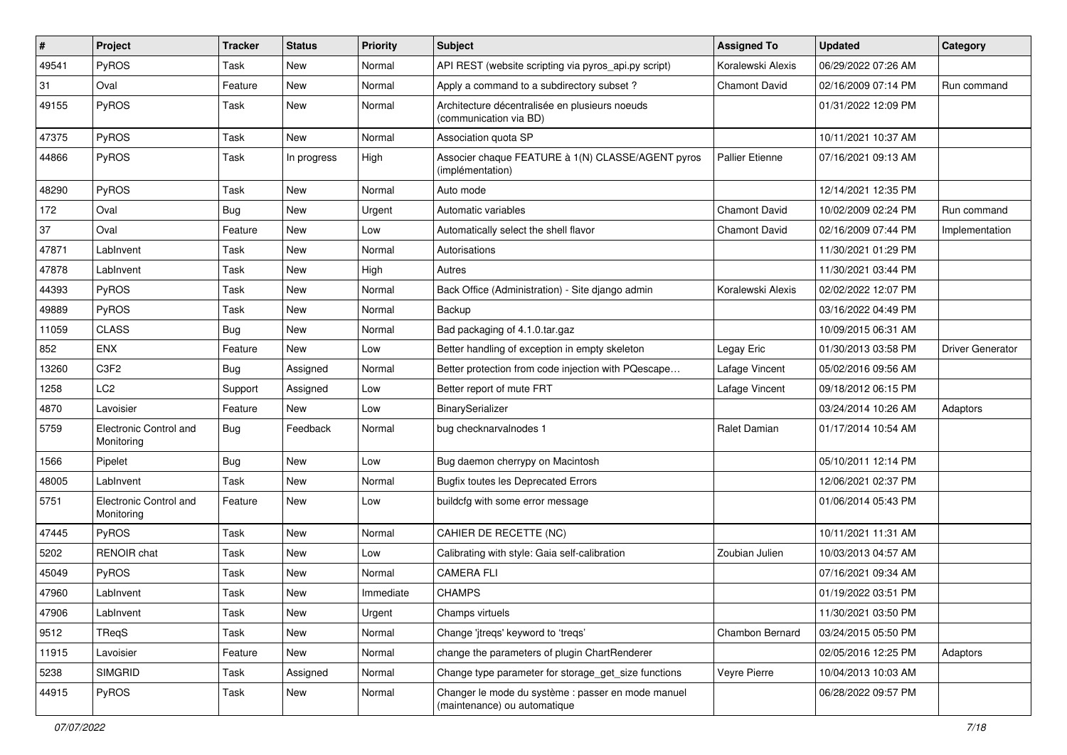| $\sharp$ | Project                              | <b>Tracker</b> | <b>Status</b> | <b>Priority</b> | <b>Subject</b>                                                                     | <b>Assigned To</b>     | <b>Updated</b>      | Category                |
|----------|--------------------------------------|----------------|---------------|-----------------|------------------------------------------------------------------------------------|------------------------|---------------------|-------------------------|
| 49541    | PyROS                                | Task           | New           | Normal          | API REST (website scripting via pyros_api.py script)                               | Koralewski Alexis      | 06/29/2022 07:26 AM |                         |
| 31       | Oval                                 | Feature        | <b>New</b>    | Normal          | Apply a command to a subdirectory subset?                                          | <b>Chamont David</b>   | 02/16/2009 07:14 PM | Run command             |
| 49155    | PyROS                                | Task           | New           | Normal          | Architecture décentralisée en plusieurs noeuds<br>(communication via BD)           |                        | 01/31/2022 12:09 PM |                         |
| 47375    | PyROS                                | Task           | <b>New</b>    | Normal          | Association quota SP                                                               |                        | 10/11/2021 10:37 AM |                         |
| 44866    | PyROS                                | Task           | In progress   | High            | Associer chaque FEATURE à 1(N) CLASSE/AGENT pyros<br>(implémentation)              | <b>Pallier Etienne</b> | 07/16/2021 09:13 AM |                         |
| 48290    | PyROS                                | Task           | <b>New</b>    | Normal          | Auto mode                                                                          |                        | 12/14/2021 12:35 PM |                         |
| 172      | Oval                                 | Bug            | <b>New</b>    | Urgent          | Automatic variables                                                                | <b>Chamont David</b>   | 10/02/2009 02:24 PM | Run command             |
| 37       | Oval                                 | Feature        | <b>New</b>    | Low             | Automatically select the shell flavor                                              | <b>Chamont David</b>   | 02/16/2009 07:44 PM | Implementation          |
| 47871    | LabInvent                            | Task           | <b>New</b>    | Normal          | Autorisations                                                                      |                        | 11/30/2021 01:29 PM |                         |
| 47878    | LabInvent                            | Task           | New           | High            | Autres                                                                             |                        | 11/30/2021 03:44 PM |                         |
| 44393    | PyROS                                | Task           | <b>New</b>    | Normal          | Back Office (Administration) - Site django admin                                   | Koralewski Alexis      | 02/02/2022 12:07 PM |                         |
| 49889    | PyROS                                | Task           | <b>New</b>    | Normal          | Backup                                                                             |                        | 03/16/2022 04:49 PM |                         |
| 11059    | <b>CLASS</b>                         | <b>Bug</b>     | <b>New</b>    | Normal          | Bad packaging of 4.1.0.tar.gaz                                                     |                        | 10/09/2015 06:31 AM |                         |
| 852      | <b>ENX</b>                           | Feature        | New           | Low             | Better handling of exception in empty skeleton                                     | Legay Eric             | 01/30/2013 03:58 PM | <b>Driver Generator</b> |
| 13260    | C3F2                                 | <b>Bug</b>     | Assigned      | Normal          | Better protection from code injection with PQescape                                | Lafage Vincent         | 05/02/2016 09:56 AM |                         |
| 1258     | LC <sub>2</sub>                      | Support        | Assigned      | Low             | Better report of mute FRT                                                          | Lafage Vincent         | 09/18/2012 06:15 PM |                         |
| 4870     | Lavoisier                            | Feature        | New           | Low             | BinarySerializer                                                                   |                        | 03/24/2014 10:26 AM | Adaptors                |
| 5759     | Electronic Control and<br>Monitoring | <b>Bug</b>     | Feedback      | Normal          | bug checknarvalnodes 1                                                             | Ralet Damian           | 01/17/2014 10:54 AM |                         |
| 1566     | Pipelet                              | <b>Bug</b>     | <b>New</b>    | Low             | Bug daemon cherrypy on Macintosh                                                   |                        | 05/10/2011 12:14 PM |                         |
| 48005    | LabInvent                            | Task           | <b>New</b>    | Normal          | <b>Bugfix toutes les Deprecated Errors</b>                                         |                        | 12/06/2021 02:37 PM |                         |
| 5751     | Electronic Control and<br>Monitoring | Feature        | New           | Low             | buildcfg with some error message                                                   |                        | 01/06/2014 05:43 PM |                         |
| 47445    | PyROS                                | Task           | <b>New</b>    | Normal          | CAHIER DE RECETTE (NC)                                                             |                        | 10/11/2021 11:31 AM |                         |
| 5202     | RENOIR chat                          | Task           | <b>New</b>    | Low             | Calibrating with style: Gaia self-calibration                                      | Zoubian Julien         | 10/03/2013 04:57 AM |                         |
| 45049    | PyROS                                | Task           | New           | Normal          | <b>CAMERA FLI</b>                                                                  |                        | 07/16/2021 09:34 AM |                         |
| 47960    | LabInvent                            | Task           | New           | Immediate       | <b>CHAMPS</b>                                                                      |                        | 01/19/2022 03:51 PM |                         |
| 47906    | LabInvent                            | Task           | New           | Urgent          | Champs virtuels                                                                    |                        | 11/30/2021 03:50 PM |                         |
| 9512     | <b>TReqS</b>                         | Task           | <b>New</b>    | Normal          | Change 'jtreqs' keyword to 'treqs'                                                 | Chambon Bernard        | 03/24/2015 05:50 PM |                         |
| 11915    | Lavoisier                            | Feature        | New           | Normal          | change the parameters of plugin ChartRenderer                                      |                        | 02/05/2016 12:25 PM | Adaptors                |
| 5238     | <b>SIMGRID</b>                       | Task           | Assigned      | Normal          | Change type parameter for storage_get_size functions                               | Veyre Pierre           | 10/04/2013 10:03 AM |                         |
| 44915    | PyROS                                | Task           | New           | Normal          | Changer le mode du système : passer en mode manuel<br>(maintenance) ou automatique |                        | 06/28/2022 09:57 PM |                         |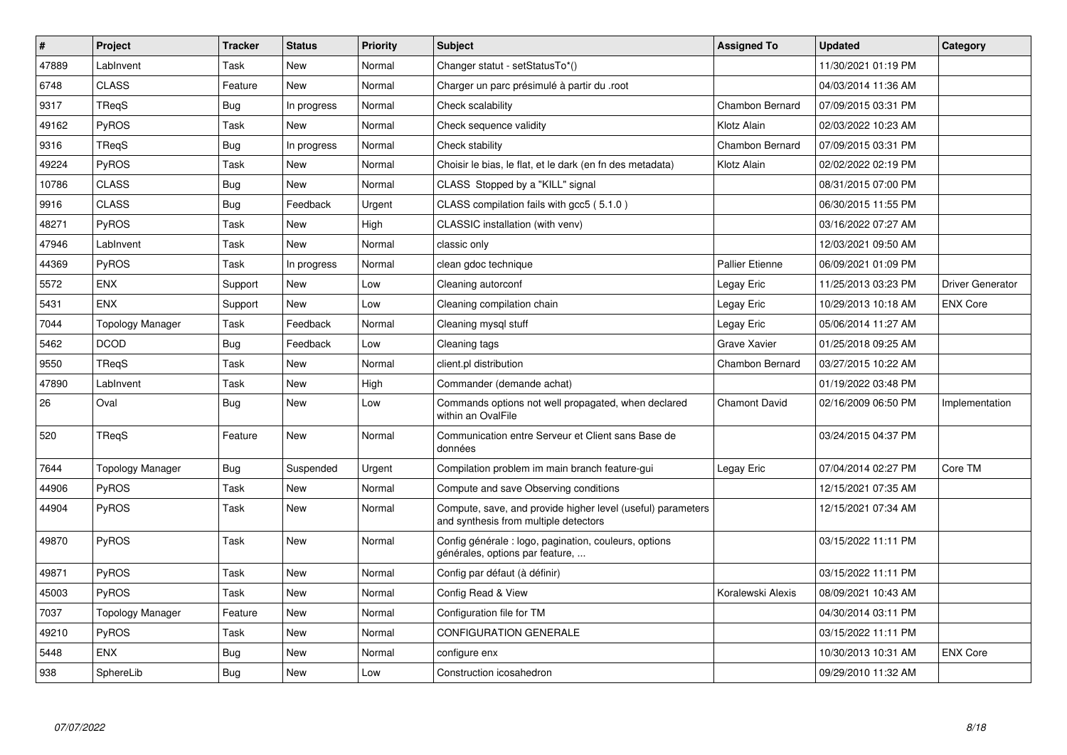| $\vert$ # | Project                 | <b>Tracker</b> | <b>Status</b> | <b>Priority</b> | <b>Subject</b>                                                                                       | <b>Assigned To</b>     | <b>Updated</b>      | Category         |
|-----------|-------------------------|----------------|---------------|-----------------|------------------------------------------------------------------------------------------------------|------------------------|---------------------|------------------|
| 47889     | LabInvent               | Task           | <b>New</b>    | Normal          | Changer statut - setStatusTo*()                                                                      |                        | 11/30/2021 01:19 PM |                  |
| 6748      | <b>CLASS</b>            | Feature        | <b>New</b>    | Normal          | Charger un parc présimulé à partir du .root                                                          |                        | 04/03/2014 11:36 AM |                  |
| 9317      | TReqS                   | Bug            | In progress   | Normal          | Check scalability                                                                                    | Chambon Bernard        | 07/09/2015 03:31 PM |                  |
| 49162     | <b>PyROS</b>            | Task           | New           | Normal          | Check sequence validity                                                                              | Klotz Alain            | 02/03/2022 10:23 AM |                  |
| 9316      | TReaS                   | Bug            | In progress   | Normal          | Check stability                                                                                      | Chambon Bernard        | 07/09/2015 03:31 PM |                  |
| 49224     | <b>PyROS</b>            | Task           | <b>New</b>    | Normal          | Choisir le bias, le flat, et le dark (en fn des metadata)                                            | Klotz Alain            | 02/02/2022 02:19 PM |                  |
| 10786     | <b>CLASS</b>            | <b>Bug</b>     | New           | Normal          | CLASS Stopped by a "KILL" signal                                                                     |                        | 08/31/2015 07:00 PM |                  |
| 9916      | <b>CLASS</b>            | <b>Bug</b>     | Feedback      | Urgent          | CLASS compilation fails with gcc5 (5.1.0)                                                            |                        | 06/30/2015 11:55 PM |                  |
| 48271     | PyROS                   | Task           | <b>New</b>    | High            | CLASSIC installation (with venv)                                                                     |                        | 03/16/2022 07:27 AM |                  |
| 47946     | LabInvent               | Task           | <b>New</b>    | Normal          | classic only                                                                                         |                        | 12/03/2021 09:50 AM |                  |
| 44369     | PyROS                   | Task           | In progress   | Normal          | clean gdoc technique                                                                                 | <b>Pallier Etienne</b> | 06/09/2021 01:09 PM |                  |
| 5572      | <b>ENX</b>              | Support        | New           | Low             | Cleaning autorconf                                                                                   | Legay Eric             | 11/25/2013 03:23 PM | Driver Generator |
| 5431      | <b>ENX</b>              | Support        | New           | Low             | Cleaning compilation chain                                                                           | Legay Eric             | 10/29/2013 10:18 AM | <b>ENX Core</b>  |
| 7044      | <b>Topology Manager</b> | Task           | Feedback      | Normal          | Cleaning mysql stuff                                                                                 | Legay Eric             | 05/06/2014 11:27 AM |                  |
| 5462      | <b>DCOD</b>             | Bug            | Feedback      | Low             | Cleaning tags                                                                                        | <b>Grave Xavier</b>    | 01/25/2018 09:25 AM |                  |
| 9550      | TReqS                   | Task           | <b>New</b>    | Normal          | client.pl distribution                                                                               | Chambon Bernard        | 03/27/2015 10:22 AM |                  |
| 47890     | LabInvent               | Task           | New           | High            | Commander (demande achat)                                                                            |                        | 01/19/2022 03:48 PM |                  |
| 26        | Oval                    | Bug            | <b>New</b>    | Low             | Commands options not well propagated, when declared<br>within an OvalFile                            | <b>Chamont David</b>   | 02/16/2009 06:50 PM | Implementation   |
| 520       | TRegS                   | Feature        | New           | Normal          | Communication entre Serveur et Client sans Base de<br>données                                        |                        | 03/24/2015 04:37 PM |                  |
| 7644      | Topology Manager        | <b>Bug</b>     | Suspended     | Urgent          | Compilation problem im main branch feature-gui                                                       | Legay Eric             | 07/04/2014 02:27 PM | Core TM          |
| 44906     | <b>PyROS</b>            | Task           | New           | Normal          | Compute and save Observing conditions                                                                |                        | 12/15/2021 07:35 AM |                  |
| 44904     | <b>PyROS</b>            | Task           | New           | Normal          | Compute, save, and provide higher level (useful) parameters<br>and synthesis from multiple detectors |                        | 12/15/2021 07:34 AM |                  |
| 49870     | <b>PyROS</b>            | Task           | New           | Normal          | Config générale : logo, pagination, couleurs, options<br>générales, options par feature,             |                        | 03/15/2022 11:11 PM |                  |
| 49871     | <b>PyROS</b>            | Task           | <b>New</b>    | Normal          | Config par défaut (à définir)                                                                        |                        | 03/15/2022 11:11 PM |                  |
| 45003     | <b>PyROS</b>            | Task           | <b>New</b>    | Normal          | Config Read & View                                                                                   | Koralewski Alexis      | 08/09/2021 10:43 AM |                  |
| 7037      | <b>Topology Manager</b> | Feature        | <b>New</b>    | Normal          | Configuration file for TM                                                                            |                        | 04/30/2014 03:11 PM |                  |
| 49210     | PyROS                   | Task           | New           | Normal          | <b>CONFIGURATION GENERALE</b>                                                                        |                        | 03/15/2022 11:11 PM |                  |
| 5448      | <b>ENX</b>              | <b>Bug</b>     | New           | Normal          | configure enx                                                                                        |                        | 10/30/2013 10:31 AM | <b>ENX Core</b>  |
| 938       | SphereLib               | <b>Bug</b>     | <b>New</b>    | Low             | Construction icosahedron                                                                             |                        | 09/29/2010 11:32 AM |                  |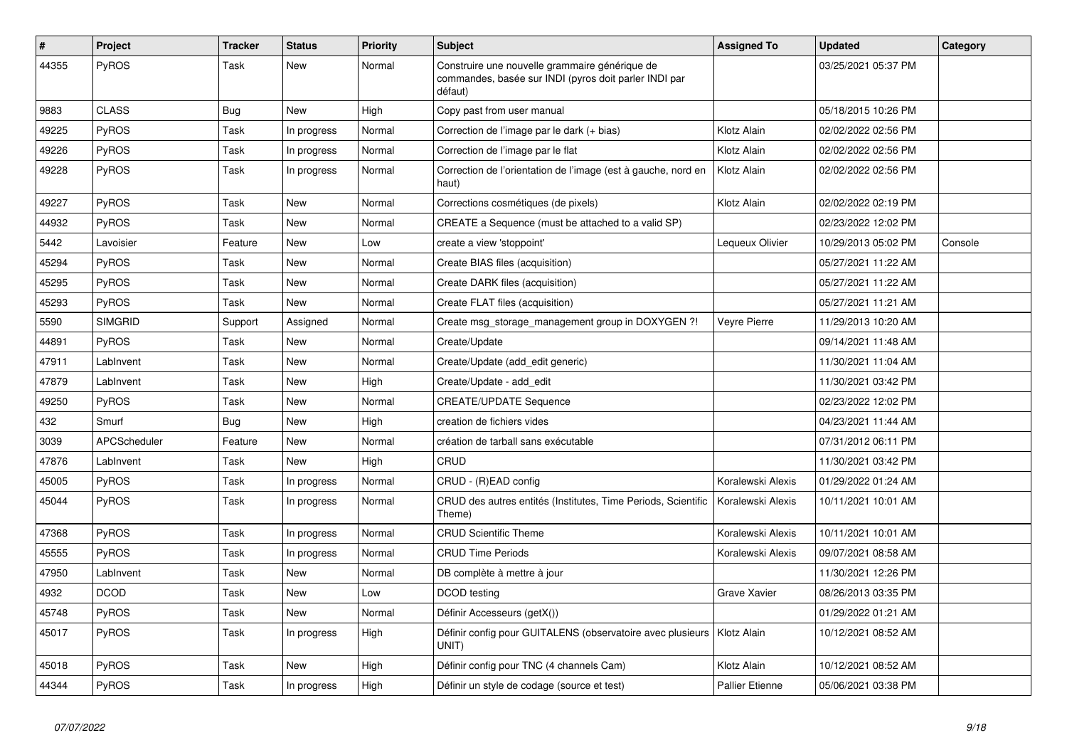| $\vert$ # | <b>Project</b>      | <b>Tracker</b> | <b>Status</b> | <b>Priority</b> | <b>Subject</b>                                                                                                     | <b>Assigned To</b>     | <b>Updated</b>      | Category |
|-----------|---------------------|----------------|---------------|-----------------|--------------------------------------------------------------------------------------------------------------------|------------------------|---------------------|----------|
| 44355     | PyROS               | Task           | <b>New</b>    | Normal          | Construire une nouvelle grammaire générique de<br>commandes, basée sur INDI (pyros doit parler INDI par<br>défaut) |                        | 03/25/2021 05:37 PM |          |
| 9883      | <b>CLASS</b>        | Bug            | <b>New</b>    | High            | Copy past from user manual                                                                                         |                        | 05/18/2015 10:26 PM |          |
| 49225     | PyROS               | Task           | In progress   | Normal          | Correction de l'image par le dark (+ bias)                                                                         | Klotz Alain            | 02/02/2022 02:56 PM |          |
| 49226     | PyROS               | Task           | In progress   | Normal          | Correction de l'image par le flat                                                                                  | Klotz Alain            | 02/02/2022 02:56 PM |          |
| 49228     | <b>PyROS</b>        | Task           | In progress   | Normal          | Correction de l'orientation de l'image (est à gauche, nord en<br>haut)                                             | Klotz Alain            | 02/02/2022 02:56 PM |          |
| 49227     | PyROS               | Task           | <b>New</b>    | Normal          | Corrections cosmétiques (de pixels)                                                                                | Klotz Alain            | 02/02/2022 02:19 PM |          |
| 44932     | <b>PyROS</b>        | Task           | <b>New</b>    | Normal          | CREATE a Sequence (must be attached to a valid SP)                                                                 |                        | 02/23/2022 12:02 PM |          |
| 5442      | Lavoisier           | Feature        | <b>New</b>    | Low             | create a view 'stoppoint'                                                                                          | Lequeux Olivier        | 10/29/2013 05:02 PM | Console  |
| 45294     | PyROS               | Task           | New           | Normal          | Create BIAS files (acquisition)                                                                                    |                        | 05/27/2021 11:22 AM |          |
| 45295     | PyROS               | Task           | <b>New</b>    | Normal          | Create DARK files (acquisition)                                                                                    |                        | 05/27/2021 11:22 AM |          |
| 45293     | PyROS               | Task           | <b>New</b>    | Normal          | Create FLAT files (acquisition)                                                                                    |                        | 05/27/2021 11:21 AM |          |
| 5590      | <b>SIMGRID</b>      | Support        | Assigned      | Normal          | Create msg_storage_management group in DOXYGEN ?!                                                                  | <b>Veyre Pierre</b>    | 11/29/2013 10:20 AM |          |
| 44891     | <b>PyROS</b>        | Task           | New           | Normal          | Create/Update                                                                                                      |                        | 09/14/2021 11:48 AM |          |
| 47911     | LabInvent           | Task           | <b>New</b>    | Normal          | Create/Update (add edit generic)                                                                                   |                        | 11/30/2021 11:04 AM |          |
| 47879     | LabInvent           | Task           | <b>New</b>    | High            | Create/Update - add edit                                                                                           |                        | 11/30/2021 03:42 PM |          |
| 49250     | PyROS               | Task           | <b>New</b>    | Normal          | <b>CREATE/UPDATE Sequence</b>                                                                                      |                        | 02/23/2022 12:02 PM |          |
| 432       | Smurf               | Bug            | <b>New</b>    | High            | creation de fichiers vides                                                                                         |                        | 04/23/2021 11:44 AM |          |
| 3039      | <b>APCScheduler</b> | Feature        | <b>New</b>    | Normal          | création de tarball sans exécutable                                                                                |                        | 07/31/2012 06:11 PM |          |
| 47876     | LabInvent           | Task           | <b>New</b>    | High            | CRUD                                                                                                               |                        | 11/30/2021 03:42 PM |          |
| 45005     | PyROS               | Task           | In progress   | Normal          | CRUD - (R)EAD config                                                                                               | Koralewski Alexis      | 01/29/2022 01:24 AM |          |
| 45044     | <b>PyROS</b>        | Task           | In progress   | Normal          | CRUD des autres entités (Institutes, Time Periods, Scientific<br>Theme)                                            | Koralewski Alexis      | 10/11/2021 10:01 AM |          |
| 47368     | PyROS               | Task           | In progress   | Normal          | <b>CRUD Scientific Theme</b>                                                                                       | Koralewski Alexis      | 10/11/2021 10:01 AM |          |
| 45555     | <b>PyROS</b>        | Task           | In progress   | Normal          | <b>CRUD Time Periods</b>                                                                                           | Koralewski Alexis      | 09/07/2021 08:58 AM |          |
| 47950     | LabInvent           | Task           | <b>New</b>    | Normal          | DB complète à mettre à jour                                                                                        |                        | 11/30/2021 12:26 PM |          |
| 4932      | <b>DCOD</b>         | Task           | <b>New</b>    | Low             | DCOD testing                                                                                                       | Grave Xavier           | 08/26/2013 03:35 PM |          |
| 45748     | PyROS               | Task           | <b>New</b>    | Normal          | Définir Accesseurs (getX())                                                                                        |                        | 01/29/2022 01:21 AM |          |
| 45017     | <b>PyROS</b>        | Task           | In progress   | High            | Définir config pour GUITALENS (observatoire avec plusieurs<br>UNIT)                                                | Klotz Alain            | 10/12/2021 08:52 AM |          |
| 45018     | PyROS               | Task           | <b>New</b>    | High            | Définir config pour TNC (4 channels Cam)                                                                           | Klotz Alain            | 10/12/2021 08:52 AM |          |
| 44344     | <b>PyROS</b>        | Task           | In progress   | High            | Définir un style de codage (source et test)                                                                        | <b>Pallier Etienne</b> | 05/06/2021 03:38 PM |          |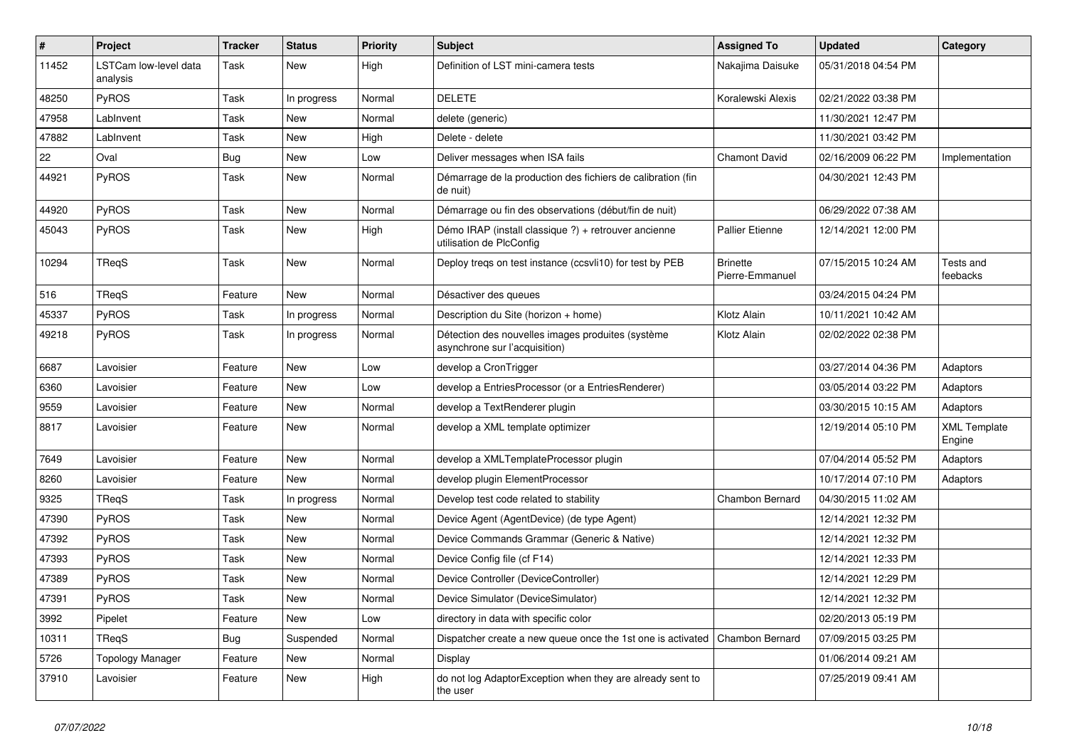| #     | Project                           | <b>Tracker</b> | <b>Status</b> | <b>Priority</b> | <b>Subject</b>                                                                     | <b>Assigned To</b>                 | <b>Updated</b>      | Category                      |
|-------|-----------------------------------|----------------|---------------|-----------------|------------------------------------------------------------------------------------|------------------------------------|---------------------|-------------------------------|
| 11452 | LSTCam low-level data<br>analysis | Task           | New           | High            | Definition of LST mini-camera tests                                                | Nakajima Daisuke                   | 05/31/2018 04:54 PM |                               |
| 48250 | PyROS                             | Task           | In progress   | Normal          | <b>DELETE</b>                                                                      | Koralewski Alexis                  | 02/21/2022 03:38 PM |                               |
| 47958 | LabInvent                         | Task           | New           | Normal          | delete (generic)                                                                   |                                    | 11/30/2021 12:47 PM |                               |
| 47882 | LabInvent                         | Task           | <b>New</b>    | High            | Delete - delete                                                                    |                                    | 11/30/2021 03:42 PM |                               |
| 22    | Oval                              | <b>Bug</b>     | <b>New</b>    | Low             | Deliver messages when ISA fails                                                    | <b>Chamont David</b>               | 02/16/2009 06:22 PM | Implementation                |
| 44921 | PyROS                             | Task           | New           | Normal          | Démarrage de la production des fichiers de calibration (fin<br>de nuit)            |                                    | 04/30/2021 12:43 PM |                               |
| 44920 | PyROS                             | Task           | <b>New</b>    | Normal          | Démarrage ou fin des observations (début/fin de nuit)                              |                                    | 06/29/2022 07:38 AM |                               |
| 45043 | PyROS                             | Task           | <b>New</b>    | High            | Démo IRAP (install classique ?) + retrouver ancienne<br>utilisation de PlcConfig   | <b>Pallier Etienne</b>             | 12/14/2021 12:00 PM |                               |
| 10294 | TReqS                             | Task           | New           | Normal          | Deploy tregs on test instance (ccsvli10) for test by PEB                           | <b>Brinette</b><br>Pierre-Emmanuel | 07/15/2015 10:24 AM | Tests and<br>feebacks         |
| 516   | TReqS                             | Feature        | <b>New</b>    | Normal          | Désactiver des queues                                                              |                                    | 03/24/2015 04:24 PM |                               |
| 45337 | PyROS                             | Task           | In progress   | Normal          | Description du Site (horizon + home)                                               | Klotz Alain                        | 10/11/2021 10:42 AM |                               |
| 49218 | PyROS                             | Task           | In progress   | Normal          | Détection des nouvelles images produites (système<br>asynchrone sur l'acquisition) | Klotz Alain                        | 02/02/2022 02:38 PM |                               |
| 6687  | Lavoisier                         | Feature        | <b>New</b>    | Low             | develop a CronTrigger                                                              |                                    | 03/27/2014 04:36 PM | Adaptors                      |
| 6360  | Lavoisier                         | Feature        | New           | Low             | develop a EntriesProcessor (or a EntriesRenderer)                                  |                                    | 03/05/2014 03:22 PM | Adaptors                      |
| 9559  | Lavoisier                         | Feature        | New           | Normal          | develop a TextRenderer plugin                                                      |                                    | 03/30/2015 10:15 AM | Adaptors                      |
| 8817  | Lavoisier                         | Feature        | <b>New</b>    | Normal          | develop a XML template optimizer                                                   |                                    | 12/19/2014 05:10 PM | <b>XML Template</b><br>Engine |
| 7649  | Lavoisier                         | Feature        | <b>New</b>    | Normal          | develop a XMLTemplateProcessor plugin                                              |                                    | 07/04/2014 05:52 PM | Adaptors                      |
| 8260  | Lavoisier                         | Feature        | New           | Normal          | develop plugin ElementProcessor                                                    |                                    | 10/17/2014 07:10 PM | Adaptors                      |
| 9325  | TReaS                             | Task           | In progress   | Normal          | Develop test code related to stability                                             | Chambon Bernard                    | 04/30/2015 11:02 AM |                               |
| 47390 | PyROS                             | Task           | <b>New</b>    | Normal          | Device Agent (AgentDevice) (de type Agent)                                         |                                    | 12/14/2021 12:32 PM |                               |
| 47392 | PyROS                             | Task           | New           | Normal          | Device Commands Grammar (Generic & Native)                                         |                                    | 12/14/2021 12:32 PM |                               |
| 47393 | PyROS                             | Task           | New           | Normal          | Device Config file (cf F14)                                                        |                                    | 12/14/2021 12:33 PM |                               |
| 47389 | PyROS                             | Task           | New           | Normal          | Device Controller (DeviceController)                                               |                                    | 12/14/2021 12:29 PM |                               |
| 47391 | PyROS                             | Task           | New           | Normal          | Device Simulator (DeviceSimulator)                                                 |                                    | 12/14/2021 12:32 PM |                               |
| 3992  | Pipelet                           | Feature        | <b>New</b>    | Low             | directory in data with specific color                                              |                                    | 02/20/2013 05:19 PM |                               |
| 10311 | TReqS                             | <b>Bug</b>     | Suspended     | Normal          | Dispatcher create a new queue once the 1st one is activated                        | Chambon Bernard                    | 07/09/2015 03:25 PM |                               |
| 5726  | Topology Manager                  | Feature        | New           | Normal          | Display                                                                            |                                    | 01/06/2014 09:21 AM |                               |
| 37910 | Lavoisier                         | Feature        | New           | High            | do not log AdaptorException when they are already sent to<br>the user              |                                    | 07/25/2019 09:41 AM |                               |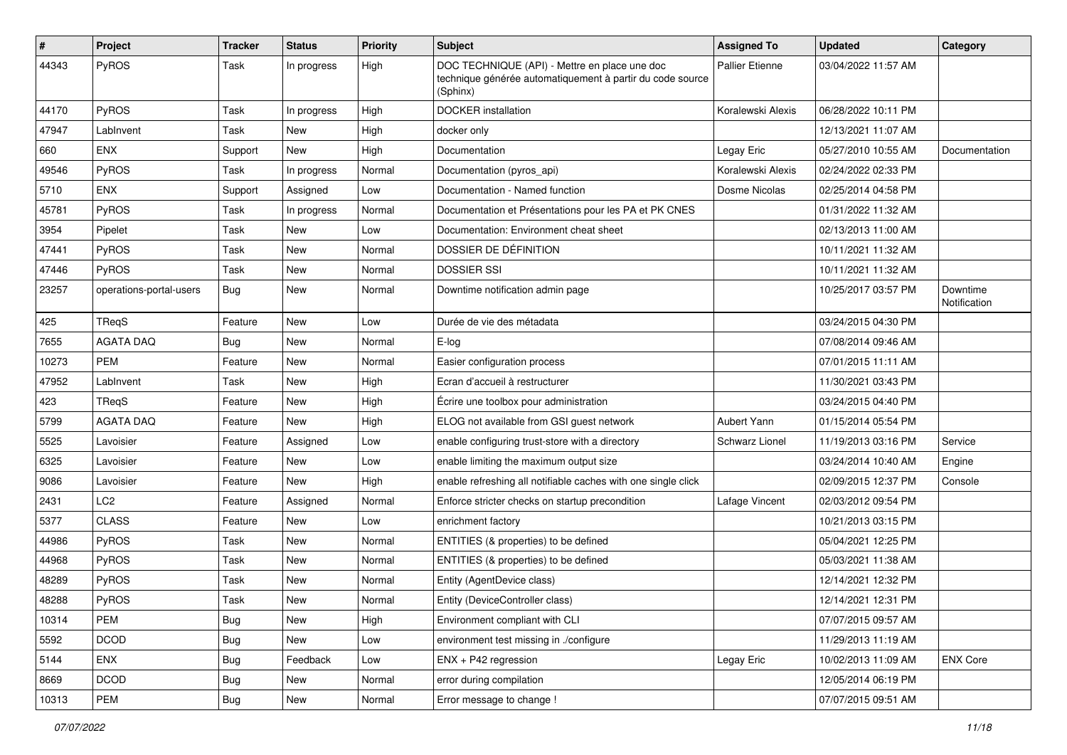| #     | Project                 | <b>Tracker</b> | <b>Status</b> | <b>Priority</b> | <b>Subject</b>                                                                                                         | <b>Assigned To</b>     | <b>Updated</b>      | Category                 |
|-------|-------------------------|----------------|---------------|-----------------|------------------------------------------------------------------------------------------------------------------------|------------------------|---------------------|--------------------------|
| 44343 | PyROS                   | Task           | In progress   | High            | DOC TECHNIQUE (API) - Mettre en place une doc<br>technique générée automatiquement à partir du code source<br>(Sphinx) | <b>Pallier Etienne</b> | 03/04/2022 11:57 AM |                          |
| 44170 | PyROS                   | <b>Task</b>    | In progress   | High            | <b>DOCKER</b> installation                                                                                             | Koralewski Alexis      | 06/28/2022 10:11 PM |                          |
| 47947 | LabInvent               | <b>Task</b>    | <b>New</b>    | High            | docker only                                                                                                            |                        | 12/13/2021 11:07 AM |                          |
| 660   | <b>ENX</b>              | Support        | <b>New</b>    | High            | Documentation                                                                                                          | Legay Eric             | 05/27/2010 10:55 AM | Documentation            |
| 49546 | PyROS                   | Task           | In progress   | Normal          | Documentation (pyros_api)                                                                                              | Koralewski Alexis      | 02/24/2022 02:33 PM |                          |
| 5710  | <b>ENX</b>              | Support        | Assigned      | Low             | Documentation - Named function                                                                                         | Dosme Nicolas          | 02/25/2014 04:58 PM |                          |
| 45781 | PyROS                   | Task           | In progress   | Normal          | Documentation et Présentations pour les PA et PK CNES                                                                  |                        | 01/31/2022 11:32 AM |                          |
| 3954  | Pipelet                 | Task           | <b>New</b>    | Low             | Documentation: Environment cheat sheet                                                                                 |                        | 02/13/2013 11:00 AM |                          |
| 47441 | PyROS                   | Task           | <b>New</b>    | Normal          | DOSSIER DE DÉFINITION                                                                                                  |                        | 10/11/2021 11:32 AM |                          |
| 47446 | PyROS                   | Task           | New           | Normal          | <b>DOSSIER SSI</b>                                                                                                     |                        | 10/11/2021 11:32 AM |                          |
| 23257 | operations-portal-users | <b>Bug</b>     | <b>New</b>    | Normal          | Downtime notification admin page                                                                                       |                        | 10/25/2017 03:57 PM | Downtime<br>Notification |
| 425   | TRegS                   | Feature        | <b>New</b>    | Low             | Durée de vie des métadata                                                                                              |                        | 03/24/2015 04:30 PM |                          |
| 7655  | <b>AGATA DAQ</b>        | <b>Bug</b>     | New           | Normal          | E-log                                                                                                                  |                        | 07/08/2014 09:46 AM |                          |
| 10273 | <b>PEM</b>              | Feature        | New           | Normal          | Easier configuration process                                                                                           |                        | 07/01/2015 11:11 AM |                          |
| 47952 | LabInvent               | Task           | <b>New</b>    | High            | Ecran d'accueil à restructurer                                                                                         |                        | 11/30/2021 03:43 PM |                          |
| 423   | TReqS                   | Feature        | New           | High            | Écrire une toolbox pour administration                                                                                 |                        | 03/24/2015 04:40 PM |                          |
| 5799  | <b>AGATA DAQ</b>        | Feature        | <b>New</b>    | High            | ELOG not available from GSI guest network                                                                              | Aubert Yann            | 01/15/2014 05:54 PM |                          |
| 5525  | Lavoisier               | Feature        | Assigned      | Low             | enable configuring trust-store with a directory                                                                        | Schwarz Lionel         | 11/19/2013 03:16 PM | Service                  |
| 6325  | Lavoisier               | Feature        | New           | Low             | enable limiting the maximum output size                                                                                |                        | 03/24/2014 10:40 AM | Engine                   |
| 9086  | Lavoisier               | Feature        | <b>New</b>    | High            | enable refreshing all notifiable caches with one single click                                                          |                        | 02/09/2015 12:37 PM | Console                  |
| 2431  | LC2                     | Feature        | Assigned      | Normal          | Enforce stricter checks on startup precondition                                                                        | Lafage Vincent         | 02/03/2012 09:54 PM |                          |
| 5377  | <b>CLASS</b>            | Feature        | New           | Low             | enrichment factory                                                                                                     |                        | 10/21/2013 03:15 PM |                          |
| 44986 | PyROS                   | Task           | New           | Normal          | ENTITIES (& properties) to be defined                                                                                  |                        | 05/04/2021 12:25 PM |                          |
| 44968 | PyROS                   | Task           | <b>New</b>    | Normal          | ENTITIES (& properties) to be defined                                                                                  |                        | 05/03/2021 11:38 AM |                          |
| 48289 | PyROS                   | Task           | <b>New</b>    | Normal          | Entity (AgentDevice class)                                                                                             |                        | 12/14/2021 12:32 PM |                          |
| 48288 | PyROS                   | Task           | New           | Normal          | Entity (DeviceController class)                                                                                        |                        | 12/14/2021 12:31 PM |                          |
| 10314 | PEM                     | <b>Bug</b>     | New           | High            | Environment compliant with CLI                                                                                         |                        | 07/07/2015 09:57 AM |                          |
| 5592  | <b>DCOD</b>             | Bug            | New           | Low             | environment test missing in ./configure                                                                                |                        | 11/29/2013 11:19 AM |                          |
| 5144  | ENX                     | <b>Bug</b>     | Feedback      | Low             | $ENX + P42$ regression                                                                                                 | Legay Eric             | 10/02/2013 11:09 AM | <b>ENX Core</b>          |
| 8669  | <b>DCOD</b>             | <b>Bug</b>     | New           | Normal          | error during compilation                                                                                               |                        | 12/05/2014 06:19 PM |                          |
| 10313 | PEM                     | <b>Bug</b>     | New           | Normal          | Error message to change !                                                                                              |                        | 07/07/2015 09:51 AM |                          |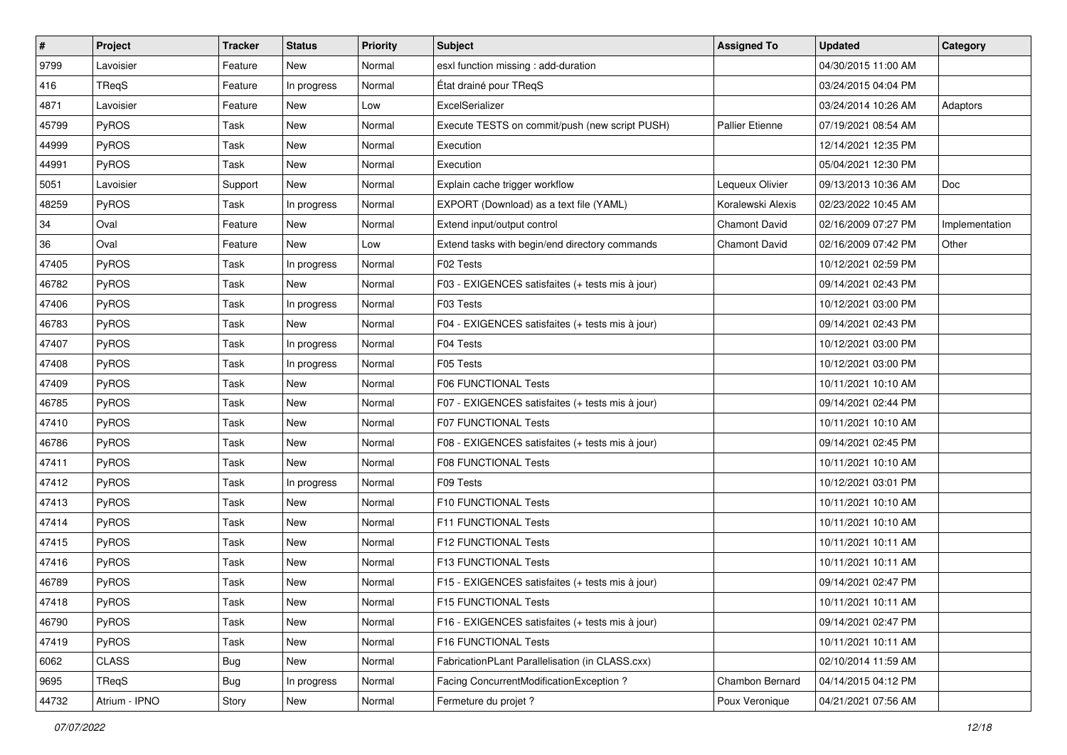| $\vert$ # | Project       | Tracker    | <b>Status</b> | <b>Priority</b> | <b>Subject</b>                                   | <b>Assigned To</b>     | <b>Updated</b>      | Category       |
|-----------|---------------|------------|---------------|-----------------|--------------------------------------------------|------------------------|---------------------|----------------|
| 9799      | Lavoisier     | Feature    | New           | Normal          | esxl function missing : add-duration             |                        | 04/30/2015 11:00 AM |                |
| 416       | <b>TRegS</b>  | Feature    | In progress   | Normal          | État drainé pour TReqS                           |                        | 03/24/2015 04:04 PM |                |
| 4871      | Lavoisier     | Feature    | New           | Low             | ExcelSerializer                                  |                        | 03/24/2014 10:26 AM | Adaptors       |
| 45799     | PyROS         | Task       | New           | Normal          | Execute TESTS on commit/push (new script PUSH)   | <b>Pallier Etienne</b> | 07/19/2021 08:54 AM |                |
| 44999     | <b>PyROS</b>  | Task       | New           | Normal          | Execution                                        |                        | 12/14/2021 12:35 PM |                |
| 44991     | PyROS         | Task       | New           | Normal          | Execution                                        |                        | 05/04/2021 12:30 PM |                |
| 5051      | Lavoisier     | Support    | New           | Normal          | Explain cache trigger workflow                   | Lequeux Olivier        | 09/13/2013 10:36 AM | Doc            |
| 48259     | PyROS         | Task       | In progress   | Normal          | EXPORT (Download) as a text file (YAML)          | Koralewski Alexis      | 02/23/2022 10:45 AM |                |
| 34        | Oval          | Feature    | New           | Normal          | Extend input/output control                      | <b>Chamont David</b>   | 02/16/2009 07:27 PM | Implementation |
| 36        | Oval          | Feature    | New           | Low             | Extend tasks with begin/end directory commands   | <b>Chamont David</b>   | 02/16/2009 07:42 PM | Other          |
| 47405     | PyROS         | Task       | In progress   | Normal          | F02 Tests                                        |                        | 10/12/2021 02:59 PM |                |
| 46782     | PyROS         | Task       | <b>New</b>    | Normal          | F03 - EXIGENCES satisfaites (+ tests mis à jour) |                        | 09/14/2021 02:43 PM |                |
| 47406     | PyROS         | Task       | In progress   | Normal          | F03 Tests                                        |                        | 10/12/2021 03:00 PM |                |
| 46783     | PyROS         | Task       | New           | Normal          | F04 - EXIGENCES satisfaites (+ tests mis à jour) |                        | 09/14/2021 02:43 PM |                |
| 47407     | PyROS         | Task       | In progress   | Normal          | F04 Tests                                        |                        | 10/12/2021 03:00 PM |                |
| 47408     | PyROS         | Task       | In progress   | Normal          | F05 Tests                                        |                        | 10/12/2021 03:00 PM |                |
| 47409     | <b>PyROS</b>  | Task       | New           | Normal          | <b>F06 FUNCTIONAL Tests</b>                      |                        | 10/11/2021 10:10 AM |                |
| 46785     | PyROS         | Task       | New           | Normal          | F07 - EXIGENCES satisfaites (+ tests mis à jour) |                        | 09/14/2021 02:44 PM |                |
| 47410     | PyROS         | Task       | New           | Normal          | <b>F07 FUNCTIONAL Tests</b>                      |                        | 10/11/2021 10:10 AM |                |
| 46786     | PyROS         | Task       | New           | Normal          | F08 - EXIGENCES satisfaites (+ tests mis à jour) |                        | 09/14/2021 02:45 PM |                |
| 47411     | PyROS         | Task       | New           | Normal          | <b>F08 FUNCTIONAL Tests</b>                      |                        | 10/11/2021 10:10 AM |                |
| 47412     | <b>PyROS</b>  | Task       | In progress   | Normal          | F09 Tests                                        |                        | 10/12/2021 03:01 PM |                |
| 47413     | PyROS         | Task       | New           | Normal          | F10 FUNCTIONAL Tests                             |                        | 10/11/2021 10:10 AM |                |
| 47414     | PyROS         | Task       | New           | Normal          | F11 FUNCTIONAL Tests                             |                        | 10/11/2021 10:10 AM |                |
| 47415     | PyROS         | Task       | New           | Normal          | F12 FUNCTIONAL Tests                             |                        | 10/11/2021 10:11 AM |                |
| 47416     | PyROS         | Task       | New           | Normal          | <b>F13 FUNCTIONAL Tests</b>                      |                        | 10/11/2021 10:11 AM |                |
| 46789     | PyROS         | Task       | New           | Normal          | F15 - EXIGENCES satisfaites (+ tests mis à jour) |                        | 09/14/2021 02:47 PM |                |
| 47418     | PyROS         | Task       | New           | Normal          | F15 FUNCTIONAL Tests                             |                        | 10/11/2021 10:11 AM |                |
| 46790     | PyROS         | Task       | New           | Normal          | F16 - EXIGENCES satisfaites (+ tests mis à jour) |                        | 09/14/2021 02:47 PM |                |
| 47419     | PyROS         | Task       | New           | Normal          | F16 FUNCTIONAL Tests                             |                        | 10/11/2021 10:11 AM |                |
| 6062      | <b>CLASS</b>  | <b>Bug</b> | New           | Normal          | FabricationPLant Parallelisation (in CLASS.cxx)  |                        | 02/10/2014 11:59 AM |                |
| 9695      | TReqS         | <b>Bug</b> | In progress   | Normal          | Facing ConcurrentModificationException ?         | Chambon Bernard        | 04/14/2015 04:12 PM |                |
| 44732     | Atrium - IPNO | Story      | New           | Normal          | Fermeture du projet ?                            | Poux Veronique         | 04/21/2021 07:56 AM |                |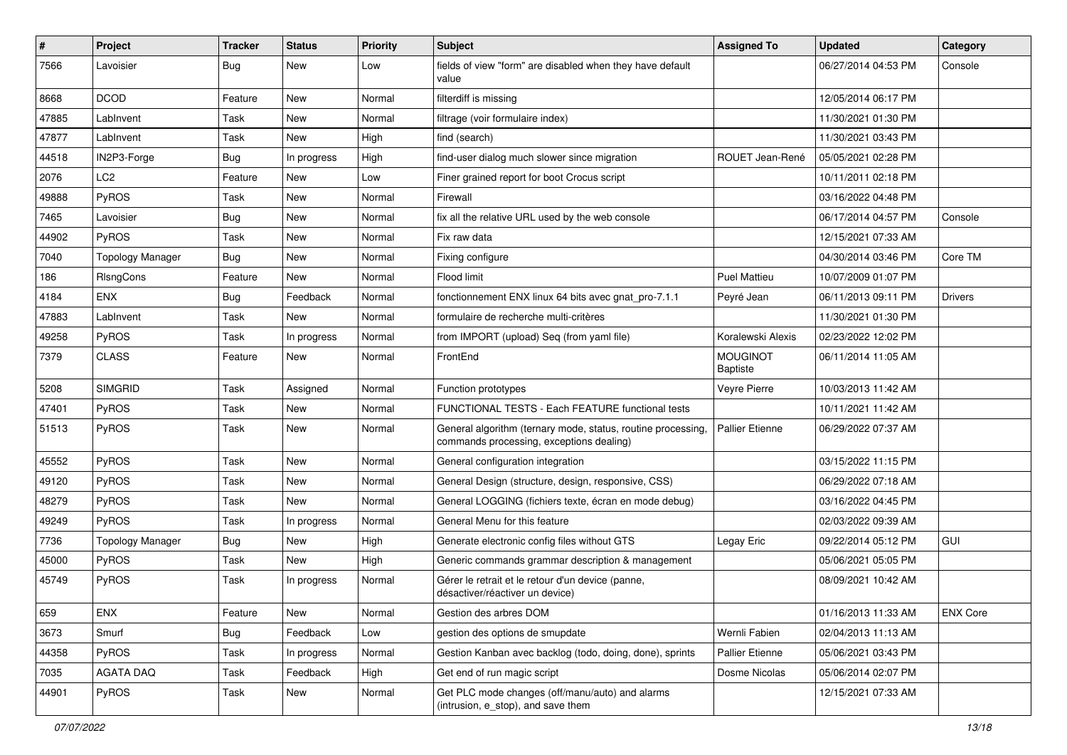| #     | <b>Project</b>          | <b>Tracker</b> | <b>Status</b> | <b>Priority</b> | <b>Subject</b>                                                                                           | <b>Assigned To</b>                 | <b>Updated</b>      | Category        |
|-------|-------------------------|----------------|---------------|-----------------|----------------------------------------------------------------------------------------------------------|------------------------------------|---------------------|-----------------|
| 7566  | Lavoisier               | <b>Bug</b>     | New           | Low             | fields of view "form" are disabled when they have default<br>value                                       |                                    | 06/27/2014 04:53 PM | Console         |
| 8668  | <b>DCOD</b>             | Feature        | <b>New</b>    | Normal          | filterdiff is missing                                                                                    |                                    | 12/05/2014 06:17 PM |                 |
| 47885 | LabInvent               | Task           | New           | Normal          | filtrage (voir formulaire index)                                                                         |                                    | 11/30/2021 01:30 PM |                 |
| 47877 | LabInvent               | Task           | <b>New</b>    | High            | find (search)                                                                                            |                                    | 11/30/2021 03:43 PM |                 |
| 44518 | IN2P3-Forge             | Bug            | In progress   | High            | find-user dialog much slower since migration                                                             | ROUET Jean-René                    | 05/05/2021 02:28 PM |                 |
| 2076  | LC <sub>2</sub>         | Feature        | <b>New</b>    | Low             | Finer grained report for boot Crocus script                                                              |                                    | 10/11/2011 02:18 PM |                 |
| 49888 | PyROS                   | Task           | New           | Normal          | Firewall                                                                                                 |                                    | 03/16/2022 04:48 PM |                 |
| 7465  | Lavoisier               | <b>Bug</b>     | <b>New</b>    | Normal          | fix all the relative URL used by the web console                                                         |                                    | 06/17/2014 04:57 PM | Console         |
| 44902 | PyROS                   | Task           | <b>New</b>    | Normal          | Fix raw data                                                                                             |                                    | 12/15/2021 07:33 AM |                 |
| 7040  | <b>Topology Manager</b> | Bug            | <b>New</b>    | Normal          | Fixing configure                                                                                         |                                    | 04/30/2014 03:46 PM | Core TM         |
| 186   | RIsngCons               | Feature        | <b>New</b>    | Normal          | Flood limit                                                                                              | <b>Puel Mattieu</b>                | 10/07/2009 01:07 PM |                 |
| 4184  | <b>ENX</b>              | Bug            | Feedback      | Normal          | fonctionnement ENX linux 64 bits avec gnat pro-7.1.1                                                     | Peyré Jean                         | 06/11/2013 09:11 PM | <b>Drivers</b>  |
| 47883 | LabInvent               | Task           | New           | Normal          | formulaire de recherche multi-critères                                                                   |                                    | 11/30/2021 01:30 PM |                 |
| 49258 | PyROS                   | Task           | In progress   | Normal          | from IMPORT (upload) Seq (from yaml file)                                                                | Koralewski Alexis                  | 02/23/2022 12:02 PM |                 |
| 7379  | <b>CLASS</b>            | Feature        | New           | Normal          | FrontEnd                                                                                                 | <b>MOUGINOT</b><br><b>Baptiste</b> | 06/11/2014 11:05 AM |                 |
| 5208  | <b>SIMGRID</b>          | Task           | Assigned      | Normal          | Function prototypes                                                                                      | Veyre Pierre                       | 10/03/2013 11:42 AM |                 |
| 47401 | <b>PyROS</b>            | Task           | <b>New</b>    | Normal          | FUNCTIONAL TESTS - Each FEATURE functional tests                                                         |                                    | 10/11/2021 11:42 AM |                 |
| 51513 | PyROS                   | Task           | <b>New</b>    | Normal          | General algorithm (ternary mode, status, routine processing,<br>commands processing, exceptions dealing) | <b>Pallier Etienne</b>             | 06/29/2022 07:37 AM |                 |
| 45552 | PyROS                   | Task           | New           | Normal          | General configuration integration                                                                        |                                    | 03/15/2022 11:15 PM |                 |
| 49120 | <b>PyROS</b>            | Task           | <b>New</b>    | Normal          | General Design (structure, design, responsive, CSS)                                                      |                                    | 06/29/2022 07:18 AM |                 |
| 48279 | <b>PyROS</b>            | Task           | New           | Normal          | General LOGGING (fichiers texte, écran en mode debug)                                                    |                                    | 03/16/2022 04:45 PM |                 |
| 49249 | PyROS                   | Task           | In progress   | Normal          | General Menu for this feature                                                                            |                                    | 02/03/2022 09:39 AM |                 |
| 7736  | <b>Topology Manager</b> | Bug            | <b>New</b>    | High            | Generate electronic config files without GTS                                                             | Legay Eric                         | 09/22/2014 05:12 PM | GUI             |
| 45000 | <b>PyROS</b>            | Task           | New           | High            | Generic commands grammar description & management                                                        |                                    | 05/06/2021 05:05 PM |                 |
| 45749 | <b>PyROS</b>            | Task           | In progress   | Normal          | Gérer le retrait et le retour d'un device (panne,<br>désactiver/réactiver un device)                     |                                    | 08/09/2021 10:42 AM |                 |
| 659   | <b>ENX</b>              | Feature        | New           | Normal          | Gestion des arbres DOM                                                                                   |                                    | 01/16/2013 11:33 AM | <b>ENX Core</b> |
| 3673  | Smurf                   | Bug            | Feedback      | Low             | gestion des options de smupdate                                                                          | Wernli Fabien                      | 02/04/2013 11:13 AM |                 |
| 44358 | PyROS                   | Task           | In progress   | Normal          | Gestion Kanban avec backlog (todo, doing, done), sprints                                                 | <b>Pallier Etienne</b>             | 05/06/2021 03:43 PM |                 |
| 7035  | <b>AGATA DAQ</b>        | Task           | Feedback      | High            | Get end of run magic script                                                                              | Dosme Nicolas                      | 05/06/2014 02:07 PM |                 |
| 44901 | PyROS                   | Task           | New           | Normal          | Get PLC mode changes (off/manu/auto) and alarms<br>(intrusion, e_stop), and save them                    |                                    | 12/15/2021 07:33 AM |                 |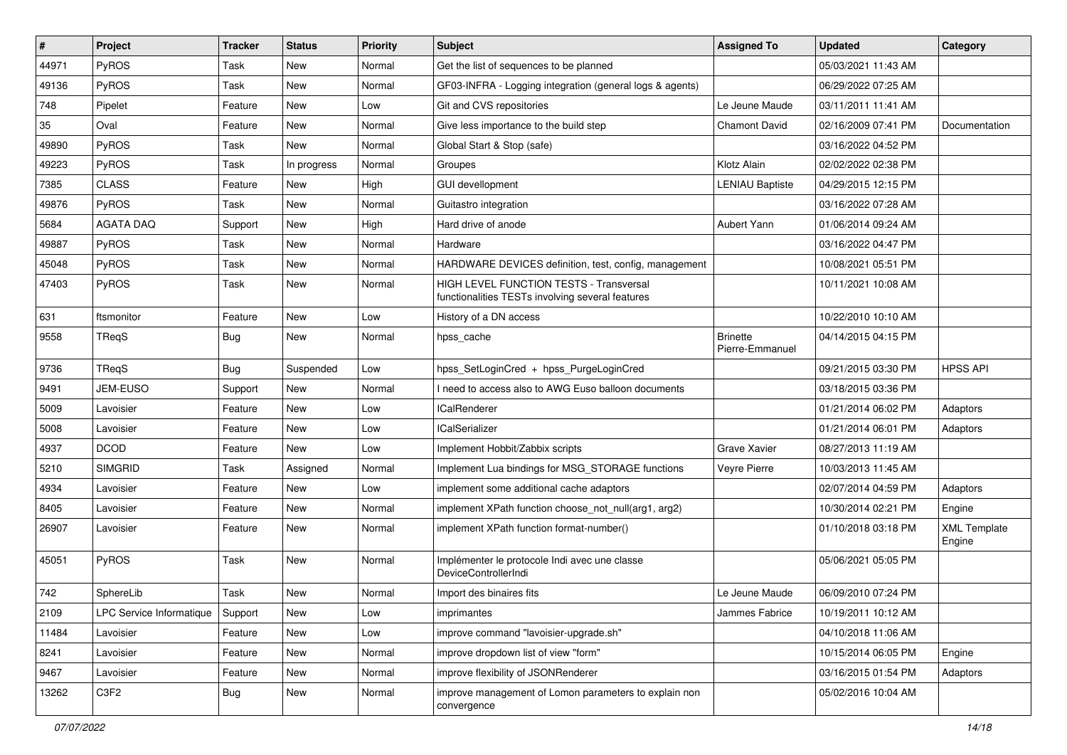| #     | Project                  | <b>Tracker</b> | <b>Status</b> | <b>Priority</b> | <b>Subject</b>                                                                              | <b>Assigned To</b>                 | <b>Updated</b>      | Category                      |
|-------|--------------------------|----------------|---------------|-----------------|---------------------------------------------------------------------------------------------|------------------------------------|---------------------|-------------------------------|
| 44971 | PyROS                    | Task           | New           | Normal          | Get the list of sequences to be planned                                                     |                                    | 05/03/2021 11:43 AM |                               |
| 49136 | PyROS                    | Task           | <b>New</b>    | Normal          | GF03-INFRA - Logging integration (general logs & agents)                                    |                                    | 06/29/2022 07:25 AM |                               |
| 748   | Pipelet                  | Feature        | New           | Low             | Git and CVS repositories                                                                    | Le Jeune Maude                     | 03/11/2011 11:41 AM |                               |
| 35    | Oval                     | Feature        | New           | Normal          | Give less importance to the build step                                                      | <b>Chamont David</b>               | 02/16/2009 07:41 PM | Documentation                 |
| 49890 | PyROS                    | Task           | <b>New</b>    | Normal          | Global Start & Stop (safe)                                                                  |                                    | 03/16/2022 04:52 PM |                               |
| 49223 | PyROS                    | Task           | In progress   | Normal          | Groupes                                                                                     | Klotz Alain                        | 02/02/2022 02:38 PM |                               |
| 7385  | <b>CLASS</b>             | Feature        | <b>New</b>    | High            | GUI devellopment                                                                            | <b>LENIAU Baptiste</b>             | 04/29/2015 12:15 PM |                               |
| 49876 | PyROS                    | Task           | New           | Normal          | Guitastro integration                                                                       |                                    | 03/16/2022 07:28 AM |                               |
| 5684  | <b>AGATA DAQ</b>         | Support        | <b>New</b>    | High            | Hard drive of anode                                                                         | Aubert Yann                        | 01/06/2014 09:24 AM |                               |
| 49887 | PyROS                    | Task           | <b>New</b>    | Normal          | Hardware                                                                                    |                                    | 03/16/2022 04:47 PM |                               |
| 45048 | PyROS                    | Task           | New           | Normal          | HARDWARE DEVICES definition, test, config, management                                       |                                    | 10/08/2021 05:51 PM |                               |
| 47403 | PyROS                    | Task           | New           | Normal          | HIGH LEVEL FUNCTION TESTS - Transversal<br>functionalities TESTs involving several features |                                    | 10/11/2021 10:08 AM |                               |
| 631   | ftsmonitor               | Feature        | <b>New</b>    | Low             | History of a DN access                                                                      |                                    | 10/22/2010 10:10 AM |                               |
| 9558  | TRegS                    | <b>Bug</b>     | New           | Normal          | hpss_cache                                                                                  | <b>Brinette</b><br>Pierre-Emmanuel | 04/14/2015 04:15 PM |                               |
| 9736  | TRegS                    | <b>Bug</b>     | Suspended     | Low             | hpss_SetLoginCred + hpss_PurgeLoginCred                                                     |                                    | 09/21/2015 03:30 PM | <b>HPSS API</b>               |
| 9491  | JEM-EUSO                 | Support        | <b>New</b>    | Normal          | I need to access also to AWG Euso balloon documents                                         |                                    | 03/18/2015 03:36 PM |                               |
| 5009  | Lavoisier                | Feature        | New           | Low             | <b>ICalRenderer</b>                                                                         |                                    | 01/21/2014 06:02 PM | Adaptors                      |
| 5008  | Lavoisier                | Feature        | <b>New</b>    | Low             | <b>ICalSerializer</b>                                                                       |                                    | 01/21/2014 06:01 PM | Adaptors                      |
| 4937  | <b>DCOD</b>              | Feature        | <b>New</b>    | Low             | Implement Hobbit/Zabbix scripts                                                             | Grave Xavier                       | 08/27/2013 11:19 AM |                               |
| 5210  | <b>SIMGRID</b>           | Task           | Assigned      | Normal          | Implement Lua bindings for MSG STORAGE functions                                            | Veyre Pierre                       | 10/03/2013 11:45 AM |                               |
| 4934  | Lavoisier                | Feature        | <b>New</b>    | Low             | implement some additional cache adaptors                                                    |                                    | 02/07/2014 04:59 PM | Adaptors                      |
| 8405  | Lavoisier                | Feature        | New           | Normal          | implement XPath function choose not null(arg1, arg2)                                        |                                    | 10/30/2014 02:21 PM | Engine                        |
| 26907 | Lavoisier                | Feature        | New           | Normal          | implement XPath function format-number()                                                    |                                    | 01/10/2018 03:18 PM | <b>XML Template</b><br>Engine |
| 45051 | PyROS                    | Task           | <b>New</b>    | Normal          | Implémenter le protocole Indi avec une classe<br>DeviceControllerIndi                       |                                    | 05/06/2021 05:05 PM |                               |
| 742   | SphereLib                | Task           | New           | Normal          | Import des binaires fits                                                                    | Le Jeune Maude                     | 06/09/2010 07:24 PM |                               |
| 2109  | LPC Service Informatique | Support        | New           | Low             | imprimantes                                                                                 | Jammes Fabrice                     | 10/19/2011 10:12 AM |                               |
| 11484 | Lavoisier                | Feature        | <b>New</b>    | Low             | improve command "lavoisier-upgrade.sh"                                                      |                                    | 04/10/2018 11:06 AM |                               |
| 8241  | Lavoisier                | Feature        | New           | Normal          | improve dropdown list of view "form"                                                        |                                    | 10/15/2014 06:05 PM | Engine                        |
| 9467  | Lavoisier                | Feature        | New           | Normal          | improve flexibility of JSONRenderer                                                         |                                    | 03/16/2015 01:54 PM | Adaptors                      |
| 13262 | C3F2                     | <b>Bug</b>     | New           | Normal          | improve management of Lomon parameters to explain non<br>convergence                        |                                    | 05/02/2016 10:04 AM |                               |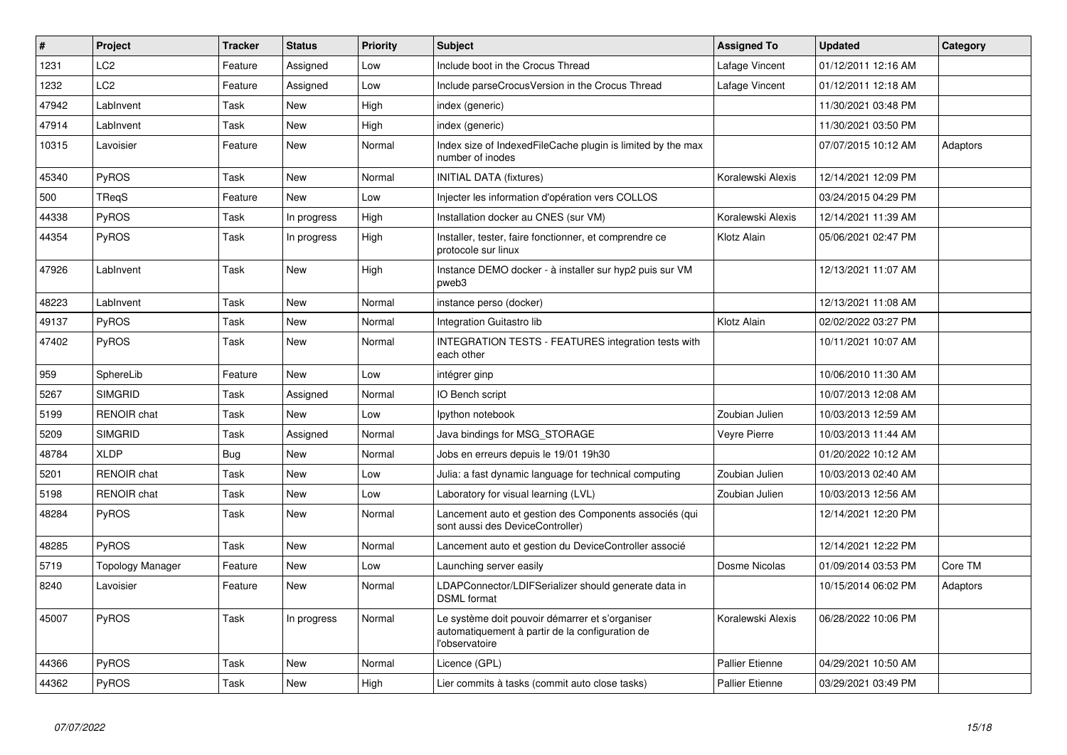| $\vert$ # | Project            | <b>Tracker</b> | <b>Status</b> | Priority | <b>Subject</b>                                                                                                       | <b>Assigned To</b>     | <b>Updated</b>      | Category |
|-----------|--------------------|----------------|---------------|----------|----------------------------------------------------------------------------------------------------------------------|------------------------|---------------------|----------|
| 1231      | LC2                | Feature        | Assigned      | Low      | Include boot in the Crocus Thread                                                                                    | Lafage Vincent         | 01/12/2011 12:16 AM |          |
| 1232      | LC <sub>2</sub>    | Feature        | Assigned      | Low      | Include parseCrocusVersion in the Crocus Thread                                                                      | Lafage Vincent         | 01/12/2011 12:18 AM |          |
| 47942     | LabInvent          | Task           | New           | High     | index (generic)                                                                                                      |                        | 11/30/2021 03:48 PM |          |
| 47914     | LabInvent          | Task           | New           | High     | index (generic)                                                                                                      |                        | 11/30/2021 03:50 PM |          |
| 10315     | Lavoisier          | Feature        | <b>New</b>    | Normal   | Index size of IndexedFileCache plugin is limited by the max<br>number of inodes                                      |                        | 07/07/2015 10:12 AM | Adaptors |
| 45340     | <b>PyROS</b>       | Task           | New           | Normal   | <b>INITIAL DATA (fixtures)</b>                                                                                       | Koralewski Alexis      | 12/14/2021 12:09 PM |          |
| 500       | TRegS              | Feature        | New           | Low      | Injecter les information d'opération vers COLLOS                                                                     |                        | 03/24/2015 04:29 PM |          |
| 44338     | <b>PyROS</b>       | Task           | In progress   | High     | Installation docker au CNES (sur VM)                                                                                 | Koralewski Alexis      | 12/14/2021 11:39 AM |          |
| 44354     | <b>PyROS</b>       | Task           | In progress   | High     | Installer, tester, faire fonctionner, et comprendre ce<br>protocole sur linux                                        | Klotz Alain            | 05/06/2021 02:47 PM |          |
| 47926     | LabInvent          | Task           | New           | High     | Instance DEMO docker - à installer sur hyp2 puis sur VM<br>pweb3                                                     |                        | 12/13/2021 11:07 AM |          |
| 48223     | LabInvent          | Task           | <b>New</b>    | Normal   | instance perso (docker)                                                                                              |                        | 12/13/2021 11:08 AM |          |
| 49137     | PyROS              | Task           | <b>New</b>    | Normal   | Integration Guitastro lib                                                                                            | Klotz Alain            | 02/02/2022 03:27 PM |          |
| 47402     | <b>PyROS</b>       | Task           | <b>New</b>    | Normal   | <b>INTEGRATION TESTS - FEATURES integration tests with</b><br>each other                                             |                        | 10/11/2021 10:07 AM |          |
| 959       | SphereLib          | Feature        | <b>New</b>    | Low      | intégrer ginp                                                                                                        |                        | 10/06/2010 11:30 AM |          |
| 5267      | <b>SIMGRID</b>     | Task           | Assigned      | Normal   | IO Bench script                                                                                                      |                        | 10/07/2013 12:08 AM |          |
| 5199      | <b>RENOIR chat</b> | Task           | New           | Low      | lpython notebook                                                                                                     | Zoubian Julien         | 10/03/2013 12:59 AM |          |
| 5209      | <b>SIMGRID</b>     | Task           | Assigned      | Normal   | Java bindings for MSG_STORAGE                                                                                        | <b>Veyre Pierre</b>    | 10/03/2013 11:44 AM |          |
| 48784     | <b>XLDP</b>        | Bug            | <b>New</b>    | Normal   | Jobs en erreurs depuis le 19/01 19h30                                                                                |                        | 01/20/2022 10:12 AM |          |
| 5201      | <b>RENOIR chat</b> | Task           | <b>New</b>    | Low      | Julia: a fast dynamic language for technical computing                                                               | Zoubian Julien         | 10/03/2013 02:40 AM |          |
| 5198      | <b>RENOIR chat</b> | Task           | New           | Low      | Laboratory for visual learning (LVL)                                                                                 | Zoubian Julien         | 10/03/2013 12:56 AM |          |
| 48284     | PyROS              | Task           | <b>New</b>    | Normal   | Lancement auto et gestion des Components associés (qui<br>sont aussi des DeviceController)                           |                        | 12/14/2021 12:20 PM |          |
| 48285     | PyROS              | Task           | <b>New</b>    | Normal   | Lancement auto et gestion du DeviceController associé                                                                |                        | 12/14/2021 12:22 PM |          |
| 5719      | Topology Manager   | Feature        | New           | Low      | Launching server easily                                                                                              | Dosme Nicolas          | 01/09/2014 03:53 PM | Core TM  |
| 8240      | Lavoisier          | Feature        | <b>New</b>    | Normal   | LDAPConnector/LDIFSerializer should generate data in<br><b>DSML</b> format                                           |                        | 10/15/2014 06:02 PM | Adaptors |
| 45007     | <b>PyROS</b>       | Task           | In progress   | Normal   | Le système doit pouvoir démarrer et s'organiser<br>automatiquement à partir de la configuration de<br>l'observatoire | Koralewski Alexis      | 06/28/2022 10:06 PM |          |
| 44366     | PyROS              | Task           | New           | Normal   | Licence (GPL)                                                                                                        | <b>Pallier Etienne</b> | 04/29/2021 10:50 AM |          |
| 44362     | PyROS              | Task           | <b>New</b>    | High     | Lier commits à tasks (commit auto close tasks)                                                                       | <b>Pallier Etienne</b> | 03/29/2021 03:49 PM |          |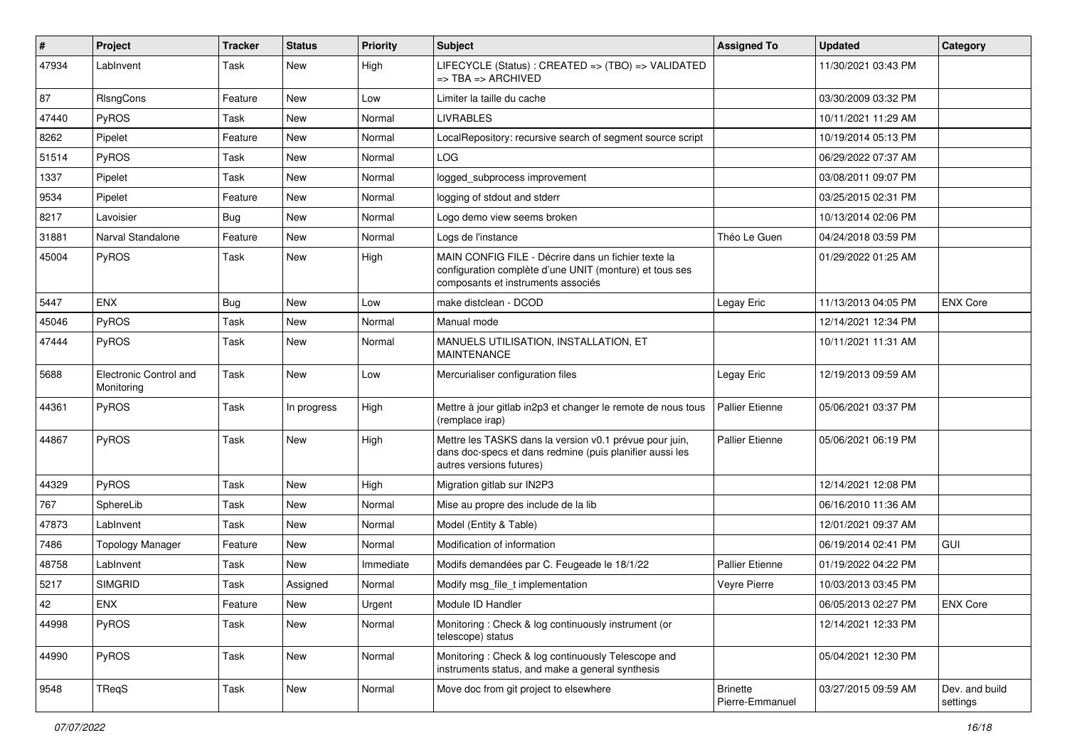| ∦     | Project                              | <b>Tracker</b> | <b>Status</b> | <b>Priority</b> | <b>Subject</b>                                                                                                                                       | <b>Assigned To</b>                 | <b>Updated</b>      | Category                   |
|-------|--------------------------------------|----------------|---------------|-----------------|------------------------------------------------------------------------------------------------------------------------------------------------------|------------------------------------|---------------------|----------------------------|
| 47934 | LabInvent                            | Task           | New           | High            | LIFECYCLE (Status) : CREATED => (TBO) => VALIDATED<br>=> TBA => ARCHIVED                                                                             |                                    | 11/30/2021 03:43 PM |                            |
| 87    | RIsngCons                            | Feature        | New           | Low             | Limiter la taille du cache                                                                                                                           |                                    | 03/30/2009 03:32 PM |                            |
| 47440 | PyROS                                | Task           | <b>New</b>    | Normal          | <b>LIVRABLES</b>                                                                                                                                     |                                    | 10/11/2021 11:29 AM |                            |
| 8262  | Pipelet                              | Feature        | <b>New</b>    | Normal          | LocalRepository: recursive search of segment source script                                                                                           |                                    | 10/19/2014 05:13 PM |                            |
| 51514 | <b>PyROS</b>                         | Task           | New           | Normal          | <b>LOG</b>                                                                                                                                           |                                    | 06/29/2022 07:37 AM |                            |
| 1337  | Pipelet                              | Task           | <b>New</b>    | Normal          | logged subprocess improvement                                                                                                                        |                                    | 03/08/2011 09:07 PM |                            |
| 9534  | Pipelet                              | Feature        | New           | Normal          | logging of stdout and stderr                                                                                                                         |                                    | 03/25/2015 02:31 PM |                            |
| 8217  | Lavoisier                            | <b>Bug</b>     | <b>New</b>    | Normal          | Logo demo view seems broken                                                                                                                          |                                    | 10/13/2014 02:06 PM |                            |
| 31881 | Narval Standalone                    | Feature        | <b>New</b>    | Normal          | Logs de l'instance                                                                                                                                   | Théo Le Guen                       | 04/24/2018 03:59 PM |                            |
| 45004 | PyROS                                | Task           | New           | High            | MAIN CONFIG FILE - Décrire dans un fichier texte la<br>configuration complète d'une UNIT (monture) et tous ses<br>composants et instruments associés |                                    | 01/29/2022 01:25 AM |                            |
| 5447  | <b>ENX</b>                           | <b>Bug</b>     | New           | LOW             | make distclean - DCOD                                                                                                                                | Legay Eric                         | 11/13/2013 04:05 PM | <b>ENX Core</b>            |
| 45046 | PyROS                                | Task           | New           | Normal          | Manual mode                                                                                                                                          |                                    | 12/14/2021 12:34 PM |                            |
| 47444 | PyROS                                | Task           | New           | Normal          | MANUELS UTILISATION, INSTALLATION, ET<br><b>MAINTENANCE</b>                                                                                          |                                    | 10/11/2021 11:31 AM |                            |
| 5688  | Electronic Control and<br>Monitoring | Task           | <b>New</b>    | Low             | Mercurialiser configuration files                                                                                                                    | Legay Eric                         | 12/19/2013 09:59 AM |                            |
| 44361 | PyROS                                | Task           | In progress   | High            | Mettre à jour gitlab in2p3 et changer le remote de nous tous<br>(remplace irap)                                                                      | <b>Pallier Etienne</b>             | 05/06/2021 03:37 PM |                            |
| 44867 | PyROS                                | Task           | <b>New</b>    | High            | Mettre les TASKS dans la version v0.1 prévue pour juin,<br>dans doc-specs et dans redmine (puis planifier aussi les<br>autres versions futures)      | <b>Pallier Etienne</b>             | 05/06/2021 06:19 PM |                            |
| 44329 | PyROS                                | Task           | New           | High            | Migration gitlab sur IN2P3                                                                                                                           |                                    | 12/14/2021 12:08 PM |                            |
| 767   | SphereLib                            | Task           | <b>New</b>    | Normal          | Mise au propre des include de la lib                                                                                                                 |                                    | 06/16/2010 11:36 AM |                            |
| 47873 | LabInvent                            | Task           | New           | Normal          | Model (Entity & Table)                                                                                                                               |                                    | 12/01/2021 09:37 AM |                            |
| 7486  | <b>Topology Manager</b>              | Feature        | <b>New</b>    | Normal          | Modification of information                                                                                                                          |                                    | 06/19/2014 02:41 PM | <b>GUI</b>                 |
| 48758 | LabInvent                            | Task           | <b>New</b>    | Immediate       | Modifs demandées par C. Feugeade le 18/1/22                                                                                                          | <b>Pallier Etienne</b>             | 01/19/2022 04:22 PM |                            |
| 5217  | <b>SIMGRID</b>                       | Task           | Assigned      | Normal          | Modify msg_file_t implementation                                                                                                                     | Veyre Pierre                       | 10/03/2013 03:45 PM |                            |
| 42    | ${\sf ENX}$                          | Feature        | New           | Urgent          | Module ID Handler                                                                                                                                    |                                    | 06/05/2013 02:27 PM | <b>ENX Core</b>            |
| 44998 | PyROS                                | Task           | New           | Normal          | Monitoring: Check & log continuously instrument (or<br>telescope) status                                                                             |                                    | 12/14/2021 12:33 PM |                            |
| 44990 | PyROS                                | Task           | New           | Normal          | Monitoring: Check & log continuously Telescope and<br>instruments status, and make a general synthesis                                               |                                    | 05/04/2021 12:30 PM |                            |
| 9548  | TReqS                                | Task           | New           | Normal          | Move doc from git project to elsewhere                                                                                                               | <b>Brinette</b><br>Pierre-Emmanuel | 03/27/2015 09:59 AM | Dev. and build<br>settings |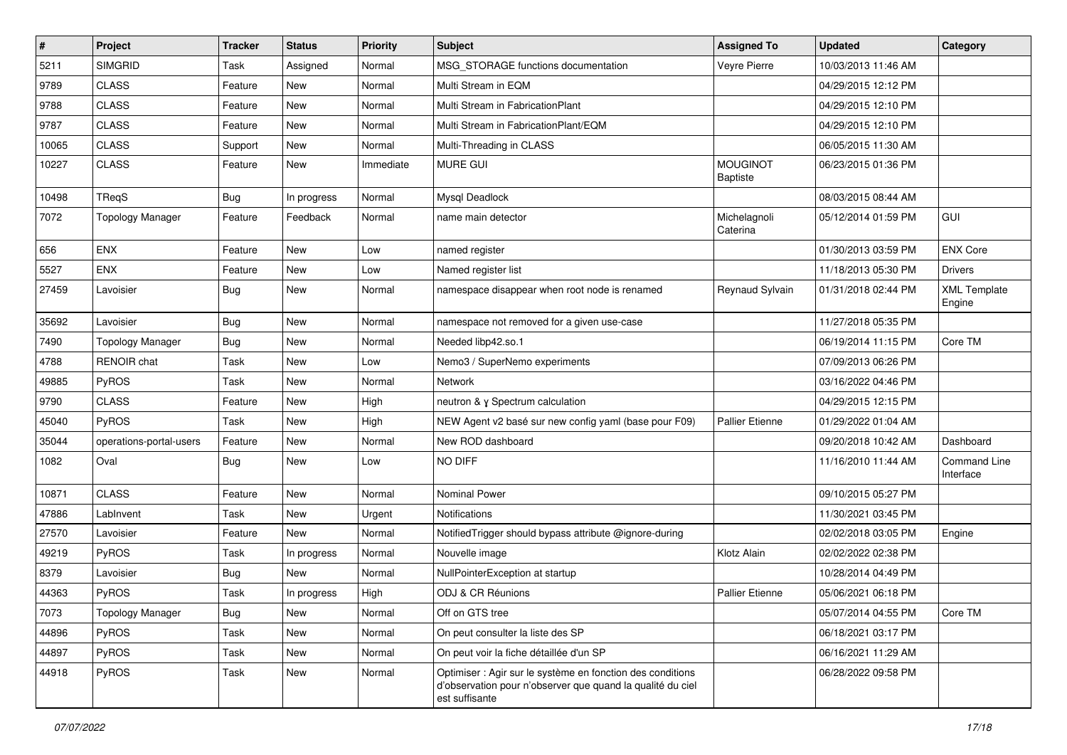| $\vert$ # | Project                 | <b>Tracker</b> | <b>Status</b> | <b>Priority</b> | <b>Subject</b>                                                                                                                             | <b>Assigned To</b>                 | <b>Updated</b>      | Category                      |
|-----------|-------------------------|----------------|---------------|-----------------|--------------------------------------------------------------------------------------------------------------------------------------------|------------------------------------|---------------------|-------------------------------|
| 5211      | <b>SIMGRID</b>          | Task           | Assigned      | Normal          | MSG_STORAGE functions documentation                                                                                                        | Veyre Pierre                       | 10/03/2013 11:46 AM |                               |
| 9789      | <b>CLASS</b>            | Feature        | <b>New</b>    | Normal          | Multi Stream in EQM                                                                                                                        |                                    | 04/29/2015 12:12 PM |                               |
| 9788      | <b>CLASS</b>            | Feature        | <b>New</b>    | Normal          | Multi Stream in FabricationPlant                                                                                                           |                                    | 04/29/2015 12:10 PM |                               |
| 9787      | <b>CLASS</b>            | Feature        | <b>New</b>    | Normal          | Multi Stream in FabricationPlant/EQM                                                                                                       |                                    | 04/29/2015 12:10 PM |                               |
| 10065     | <b>CLASS</b>            | Support        | <b>New</b>    | Normal          | Multi-Threading in CLASS                                                                                                                   |                                    | 06/05/2015 11:30 AM |                               |
| 10227     | <b>CLASS</b>            | Feature        | New           | Immediate       | <b>MURE GUI</b>                                                                                                                            | <b>MOUGINOT</b><br><b>Baptiste</b> | 06/23/2015 01:36 PM |                               |
| 10498     | TReqS                   | <b>Bug</b>     | In progress   | Normal          | Mysql Deadlock                                                                                                                             |                                    | 08/03/2015 08:44 AM |                               |
| 7072      | <b>Topology Manager</b> | Feature        | Feedback      | Normal          | name main detector                                                                                                                         | Michelagnoli<br>Caterina           | 05/12/2014 01:59 PM | GUI                           |
| 656       | <b>ENX</b>              | Feature        | <b>New</b>    | Low             | named register                                                                                                                             |                                    | 01/30/2013 03:59 PM | <b>ENX Core</b>               |
| 5527      | ENX                     | Feature        | New           | Low             | Named register list                                                                                                                        |                                    | 11/18/2013 05:30 PM | <b>Drivers</b>                |
| 27459     | Lavoisier               | Bug            | <b>New</b>    | Normal          | namespace disappear when root node is renamed                                                                                              | Reynaud Sylvain                    | 01/31/2018 02:44 PM | <b>XML Template</b><br>Engine |
| 35692     | Lavoisier               | Bug            | <b>New</b>    | Normal          | namespace not removed for a given use-case                                                                                                 |                                    | 11/27/2018 05:35 PM |                               |
| 7490      | <b>Topology Manager</b> | Bug            | <b>New</b>    | Normal          | Needed libp42.so.1                                                                                                                         |                                    | 06/19/2014 11:15 PM | Core TM                       |
| 4788      | RENOIR chat             | Task           | <b>New</b>    | Low             | Nemo3 / SuperNemo experiments                                                                                                              |                                    | 07/09/2013 06:26 PM |                               |
| 49885     | PyROS                   | Task           | New           | Normal          | Network                                                                                                                                    |                                    | 03/16/2022 04:46 PM |                               |
| 9790      | <b>CLASS</b>            | Feature        | New           | High            | neutron & y Spectrum calculation                                                                                                           |                                    | 04/29/2015 12:15 PM |                               |
| 45040     | PyROS                   | Task           | New           | High            | NEW Agent v2 basé sur new config yaml (base pour F09)                                                                                      | <b>Pallier Etienne</b>             | 01/29/2022 01:04 AM |                               |
| 35044     | operations-portal-users | Feature        | <b>New</b>    | Normal          | New ROD dashboard                                                                                                                          |                                    | 09/20/2018 10:42 AM | Dashboard                     |
| 1082      | Oval                    | <b>Bug</b>     | New           | Low             | NO DIFF                                                                                                                                    |                                    | 11/16/2010 11:44 AM | Command Line<br>Interface     |
| 10871     | <b>CLASS</b>            | Feature        | <b>New</b>    | Normal          | Nominal Power                                                                                                                              |                                    | 09/10/2015 05:27 PM |                               |
| 47886     | LabInvent               | Task           | <b>New</b>    | Urgent          | Notifications                                                                                                                              |                                    | 11/30/2021 03:45 PM |                               |
| 27570     | Lavoisier               | Feature        | <b>New</b>    | Normal          | NotifiedTrigger should bypass attribute @ignore-during                                                                                     |                                    | 02/02/2018 03:05 PM | Engine                        |
| 49219     | PyROS                   | Task           | In progress   | Normal          | Nouvelle image                                                                                                                             | Klotz Alain                        | 02/02/2022 02:38 PM |                               |
| 8379      | Lavoisier               | Bug            | New           | Normal          | NullPointerException at startup                                                                                                            |                                    | 10/28/2014 04:49 PM |                               |
| 44363     | PyROS                   | Task           | In progress   | High            | ODJ & CR Réunions                                                                                                                          | <b>Pallier Etienne</b>             | 05/06/2021 06:18 PM |                               |
| 7073      | <b>Topology Manager</b> | Bug            | New           | Normal          | Off on GTS tree                                                                                                                            |                                    | 05/07/2014 04:55 PM | Core TM                       |
| 44896     | PyROS                   | Task           | <b>New</b>    | Normal          | On peut consulter la liste des SP                                                                                                          |                                    | 06/18/2021 03:17 PM |                               |
| 44897     | PyROS                   | Task           | New           | Normal          | On peut voir la fiche détaillée d'un SP                                                                                                    |                                    | 06/16/2021 11:29 AM |                               |
| 44918     | PyROS                   | Task           | New           | Normal          | Optimiser : Agir sur le système en fonction des conditions<br>d'observation pour n'observer que quand la qualité du ciel<br>est suffisante |                                    | 06/28/2022 09:58 PM |                               |